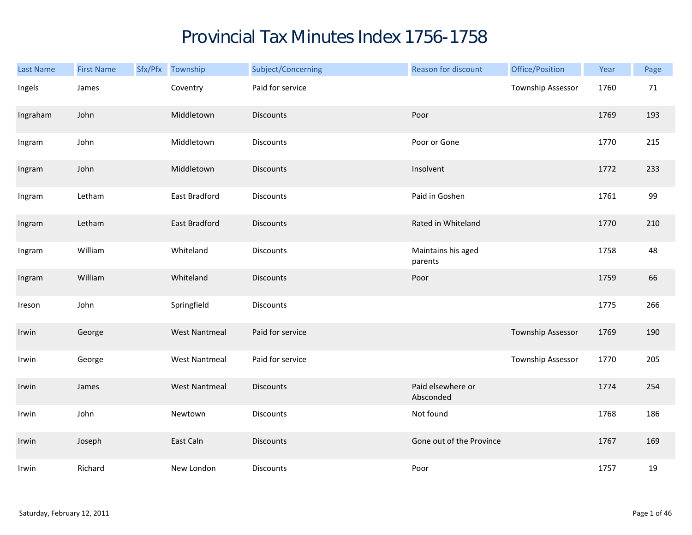## Provincial Tax Minutes Index 1756-1758

| Last Name | <b>First Name</b> | Sfx/Pfx Township     | Subject/Concerning | Reason for discount            | Office/Position          | Year | Page |
|-----------|-------------------|----------------------|--------------------|--------------------------------|--------------------------|------|------|
| Ingels    | James             | Coventry             | Paid for service   |                                | Township Assessor        | 1760 | 71   |
| Ingraham  | John              | Middletown           | <b>Discounts</b>   | Poor                           |                          | 1769 | 193  |
| Ingram    | John              | Middletown           | <b>Discounts</b>   | Poor or Gone                   |                          | 1770 | 215  |
| Ingram    | John              | Middletown           | <b>Discounts</b>   | Insolvent                      |                          | 1772 | 233  |
| Ingram    | Letham            | East Bradford        | <b>Discounts</b>   | Paid in Goshen                 |                          | 1761 | 99   |
| Ingram    | Letham            | East Bradford        | <b>Discounts</b>   | Rated in Whiteland             |                          | 1770 | 210  |
| Ingram    | William           | Whiteland            | Discounts          | Maintains his aged<br>parents  |                          | 1758 | 48   |
| Ingram    | William           | Whiteland            | <b>Discounts</b>   | Poor                           |                          | 1759 | 66   |
| Ireson    | John              | Springfield          | Discounts          |                                |                          | 1775 | 266  |
| Irwin     | George            | <b>West Nantmeal</b> | Paid for service   |                                | <b>Township Assessor</b> | 1769 | 190  |
| Irwin     | George            | <b>West Nantmeal</b> | Paid for service   |                                | Township Assessor        | 1770 | 205  |
| Irwin     | James             | <b>West Nantmeal</b> | <b>Discounts</b>   | Paid elsewhere or<br>Absconded |                          | 1774 | 254  |
| Irwin     | John              | Newtown              | Discounts          | Not found                      |                          | 1768 | 186  |
| Irwin     | Joseph            | East Caln            | <b>Discounts</b>   | Gone out of the Province       |                          | 1767 | 169  |
| Irwin     | Richard           | New London           | Discounts          | Poor                           |                          | 1757 | 19   |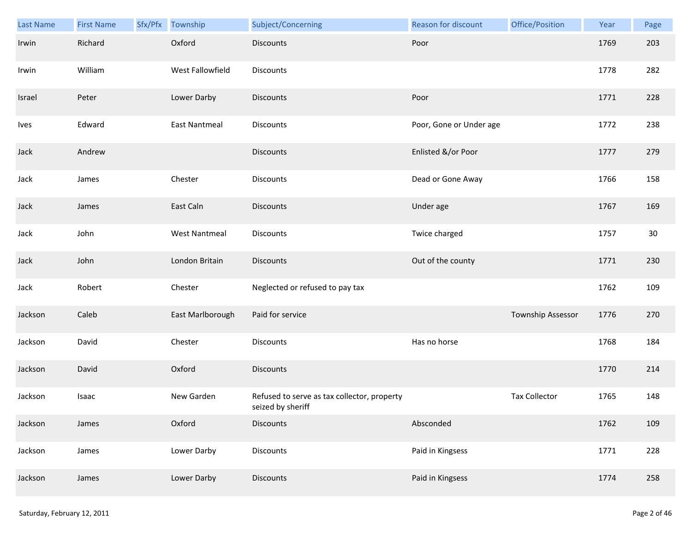| Last Name | <b>First Name</b> | Sfx/Pfx Township     | Subject/Concerning                                               | <b>Reason for discount</b> | Office/Position      | Year | Page |
|-----------|-------------------|----------------------|------------------------------------------------------------------|----------------------------|----------------------|------|------|
| Irwin     | Richard           | Oxford               | <b>Discounts</b>                                                 | Poor                       |                      | 1769 | 203  |
| Irwin     | William           | West Fallowfield     | Discounts                                                        |                            |                      | 1778 | 282  |
| Israel    | Peter             | Lower Darby          | <b>Discounts</b>                                                 | Poor                       |                      | 1771 | 228  |
| Ives      | Edward            | <b>East Nantmeal</b> | <b>Discounts</b>                                                 | Poor, Gone or Under age    |                      | 1772 | 238  |
| Jack      | Andrew            |                      | <b>Discounts</b>                                                 | Enlisted &/or Poor         |                      | 1777 | 279  |
| Jack      | James             | Chester              | <b>Discounts</b>                                                 | Dead or Gone Away          |                      | 1766 | 158  |
| Jack      | James             | East Caln            | <b>Discounts</b>                                                 | Under age                  |                      | 1767 | 169  |
| Jack      | John              | <b>West Nantmeal</b> | Discounts                                                        | Twice charged              |                      | 1757 | 30   |
| Jack      | John              | London Britain       | <b>Discounts</b>                                                 | Out of the county          |                      | 1771 | 230  |
| Jack      | Robert            | Chester              | Neglected or refused to pay tax                                  |                            |                      | 1762 | 109  |
| Jackson   | Caleb             | East Marlborough     | Paid for service                                                 |                            | Township Assessor    | 1776 | 270  |
| Jackson   | David             | Chester              | Discounts                                                        | Has no horse               |                      | 1768 | 184  |
| Jackson   | David             | Oxford               | <b>Discounts</b>                                                 |                            |                      | 1770 | 214  |
| Jackson   | Isaac             | New Garden           | Refused to serve as tax collector, property<br>seized by sheriff |                            | <b>Tax Collector</b> | 1765 | 148  |
| Jackson   | James             | Oxford               | <b>Discounts</b>                                                 | Absconded                  |                      | 1762 | 109  |
| Jackson   | James             | Lower Darby          | <b>Discounts</b>                                                 | Paid in Kingsess           |                      | 1771 | 228  |
| Jackson   | James             | Lower Darby          | <b>Discounts</b>                                                 | Paid in Kingsess           |                      | 1774 | 258  |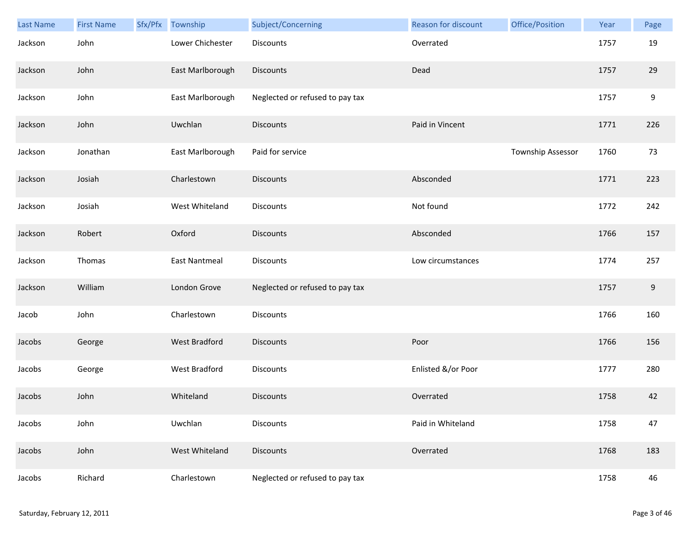| Last Name | <b>First Name</b> | Sfx/Pfx Township     | Subject/Concerning              | <b>Reason for discount</b> | Office/Position   | Year | Page  |
|-----------|-------------------|----------------------|---------------------------------|----------------------------|-------------------|------|-------|
| Jackson   | John              | Lower Chichester     | Discounts                       | Overrated                  |                   | 1757 | 19    |
| Jackson   | John              | East Marlborough     | <b>Discounts</b>                | Dead                       |                   | 1757 | 29    |
| Jackson   | John              | East Marlborough     | Neglected or refused to pay tax |                            |                   | 1757 | 9     |
| Jackson   | John              | Uwchlan              | <b>Discounts</b>                | Paid in Vincent            |                   | 1771 | 226   |
| Jackson   | Jonathan          | East Marlborough     | Paid for service                |                            | Township Assessor | 1760 | 73    |
| Jackson   | Josiah            | Charlestown          | <b>Discounts</b>                | Absconded                  |                   | 1771 | 223   |
| Jackson   | Josiah            | West Whiteland       | Discounts                       | Not found                  |                   | 1772 | 242   |
| Jackson   | Robert            | Oxford               | <b>Discounts</b>                | Absconded                  |                   | 1766 | 157   |
| Jackson   | Thomas            | <b>East Nantmeal</b> | <b>Discounts</b>                | Low circumstances          |                   | 1774 | 257   |
| Jackson   | William           | London Grove         | Neglected or refused to pay tax |                            |                   | 1757 | $9\,$ |
| Jacob     | John              | Charlestown          | Discounts                       |                            |                   | 1766 | 160   |
| Jacobs    | George            | <b>West Bradford</b> | <b>Discounts</b>                | Poor                       |                   | 1766 | 156   |
| Jacobs    | George            | West Bradford        | Discounts                       | Enlisted &/or Poor         |                   | 1777 | 280   |
| Jacobs    | John              | Whiteland            | <b>Discounts</b>                | Overrated                  |                   | 1758 | 42    |
| Jacobs    | John              | Uwchlan              | <b>Discounts</b>                | Paid in Whiteland          |                   | 1758 | 47    |
| Jacobs    | John              | West Whiteland       | Discounts                       | Overrated                  |                   | 1768 | 183   |
| Jacobs    | Richard           | Charlestown          | Neglected or refused to pay tax |                            |                   | 1758 | 46    |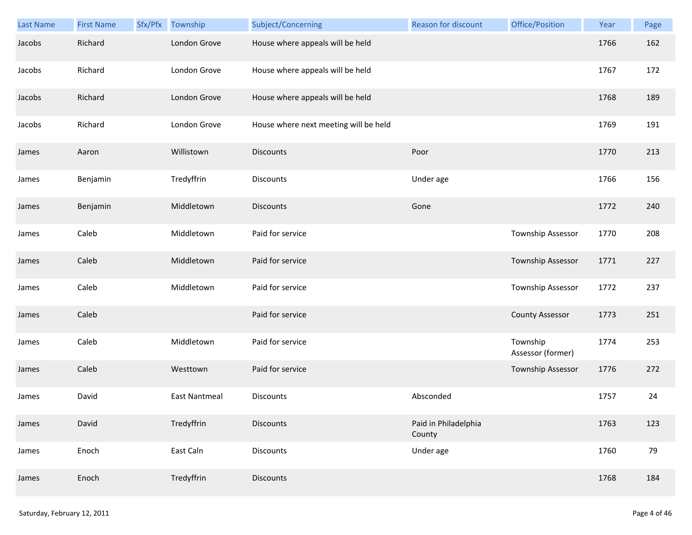| <b>Last Name</b> | <b>First Name</b> | Sfx/Pfx | Township             | Subject/Concerning                    | <b>Reason for discount</b>     | Office/Position               | Year | Page |
|------------------|-------------------|---------|----------------------|---------------------------------------|--------------------------------|-------------------------------|------|------|
| Jacobs           | Richard           |         | London Grove         | House where appeals will be held      |                                |                               | 1766 | 162  |
| Jacobs           | Richard           |         | London Grove         | House where appeals will be held      |                                |                               | 1767 | 172  |
| Jacobs           | Richard           |         | London Grove         | House where appeals will be held      |                                |                               | 1768 | 189  |
| Jacobs           | Richard           |         | London Grove         | House where next meeting will be held |                                |                               | 1769 | 191  |
| James            | Aaron             |         | Willistown           | <b>Discounts</b>                      | Poor                           |                               | 1770 | 213  |
| James            | Benjamin          |         | Tredyffrin           | <b>Discounts</b>                      | Under age                      |                               | 1766 | 156  |
| James            | Benjamin          |         | Middletown           | <b>Discounts</b>                      | Gone                           |                               | 1772 | 240  |
| James            | Caleb             |         | Middletown           | Paid for service                      |                                | Township Assessor             | 1770 | 208  |
| James            | Caleb             |         | Middletown           | Paid for service                      |                                | Township Assessor             | 1771 | 227  |
| James            | Caleb             |         | Middletown           | Paid for service                      |                                | Township Assessor             | 1772 | 237  |
| James            | Caleb             |         |                      | Paid for service                      |                                | <b>County Assessor</b>        | 1773 | 251  |
| James            | Caleb             |         | Middletown           | Paid for service                      |                                | Township<br>Assessor (former) | 1774 | 253  |
| James            | Caleb             |         | Westtown             | Paid for service                      |                                | <b>Township Assessor</b>      | 1776 | 272  |
| James            | David             |         | <b>East Nantmeal</b> | Discounts                             | Absconded                      |                               | 1757 | 24   |
| James            | David             |         | Tredyffrin           | <b>Discounts</b>                      | Paid in Philadelphia<br>County |                               | 1763 | 123  |
| James            | Enoch             |         | East Caln            | <b>Discounts</b>                      | Under age                      |                               | 1760 | 79   |
| James            | Enoch             |         | Tredyffrin           | <b>Discounts</b>                      |                                |                               | 1768 | 184  |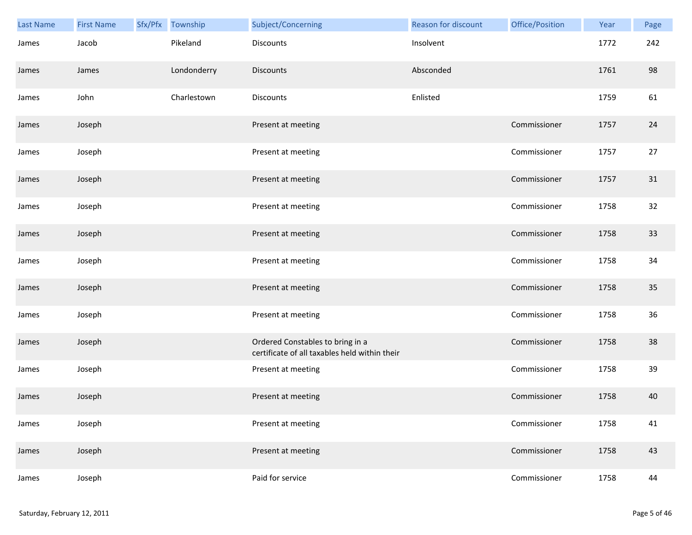| Last Name | <b>First Name</b> | Sfx/Pfx | Township    | Subject/Concerning                                                                | Reason for discount | Office/Position | Year | Page   |
|-----------|-------------------|---------|-------------|-----------------------------------------------------------------------------------|---------------------|-----------------|------|--------|
| James     | Jacob             |         | Pikeland    | <b>Discounts</b>                                                                  | Insolvent           |                 | 1772 | 242    |
| James     | James             |         | Londonderry | <b>Discounts</b>                                                                  | Absconded           |                 | 1761 | 98     |
| James     | John              |         | Charlestown | <b>Discounts</b>                                                                  | Enlisted            |                 | 1759 | 61     |
| James     | Joseph            |         |             | Present at meeting                                                                |                     | Commissioner    | 1757 | 24     |
| James     | Joseph            |         |             | Present at meeting                                                                |                     | Commissioner    | 1757 | $27\,$ |
| James     | Joseph            |         |             | Present at meeting                                                                |                     | Commissioner    | 1757 | 31     |
| James     | Joseph            |         |             | Present at meeting                                                                |                     | Commissioner    | 1758 | 32     |
| James     | Joseph            |         |             | Present at meeting                                                                |                     | Commissioner    | 1758 | 33     |
| James     | Joseph            |         |             | Present at meeting                                                                |                     | Commissioner    | 1758 | 34     |
| James     | Joseph            |         |             | Present at meeting                                                                |                     | Commissioner    | 1758 | 35     |
| James     | Joseph            |         |             | Present at meeting                                                                |                     | Commissioner    | 1758 | 36     |
| James     | Joseph            |         |             | Ordered Constables to bring in a<br>certificate of all taxables held within their |                     | Commissioner    | 1758 | 38     |
| James     | Joseph            |         |             | Present at meeting                                                                |                     | Commissioner    | 1758 | 39     |
| James     | Joseph            |         |             | Present at meeting                                                                |                     | Commissioner    | 1758 | 40     |
| James     | Joseph            |         |             | Present at meeting                                                                |                     | Commissioner    | 1758 | 41     |
| James     | Joseph            |         |             | Present at meeting                                                                |                     | Commissioner    | 1758 | 43     |
| James     | Joseph            |         |             | Paid for service                                                                  |                     | Commissioner    | 1758 | 44     |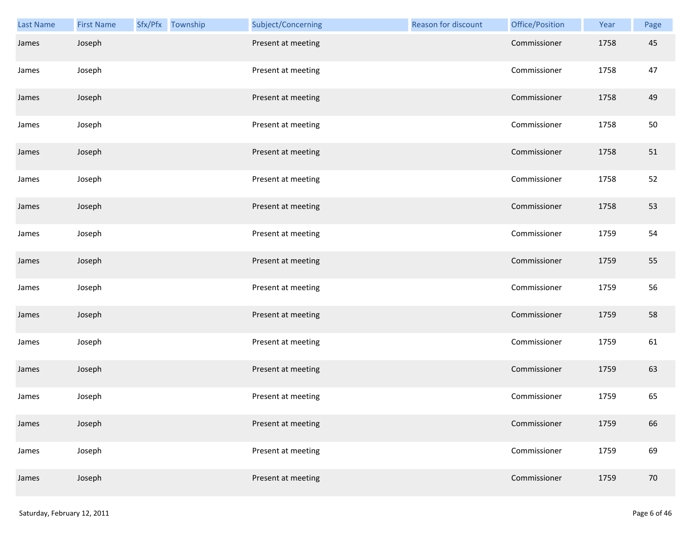| Last Name | <b>First Name</b> | Sfx/Pfx Township | Subject/Concerning | Reason for discount | Office/Position | Year | Page |
|-----------|-------------------|------------------|--------------------|---------------------|-----------------|------|------|
| James     | Joseph            |                  | Present at meeting |                     | Commissioner    | 1758 | 45   |
| James     | Joseph            |                  | Present at meeting |                     | Commissioner    | 1758 | 47   |
| James     | Joseph            |                  | Present at meeting |                     | Commissioner    | 1758 | 49   |
| James     | Joseph            |                  | Present at meeting |                     | Commissioner    | 1758 | 50   |
| James     | Joseph            |                  | Present at meeting |                     | Commissioner    | 1758 | 51   |
| James     | Joseph            |                  | Present at meeting |                     | Commissioner    | 1758 | 52   |
| James     | Joseph            |                  | Present at meeting |                     | Commissioner    | 1758 | 53   |
| James     | Joseph            |                  | Present at meeting |                     | Commissioner    | 1759 | 54   |
| James     | Joseph            |                  | Present at meeting |                     | Commissioner    | 1759 | 55   |
| James     | Joseph            |                  | Present at meeting |                     | Commissioner    | 1759 | 56   |
| James     | Joseph            |                  | Present at meeting |                     | Commissioner    | 1759 | 58   |
| James     | Joseph            |                  | Present at meeting |                     | Commissioner    | 1759 | 61   |
| James     | Joseph            |                  | Present at meeting |                     | Commissioner    | 1759 | 63   |
| James     | Joseph            |                  | Present at meeting |                     | Commissioner    | 1759 | 65   |
| James     | Joseph            |                  | Present at meeting |                     | Commissioner    | 1759 | 66   |
| James     | Joseph            |                  | Present at meeting |                     | Commissioner    | 1759 | 69   |
| James     | Joseph            |                  | Present at meeting |                     | Commissioner    | 1759 | 70   |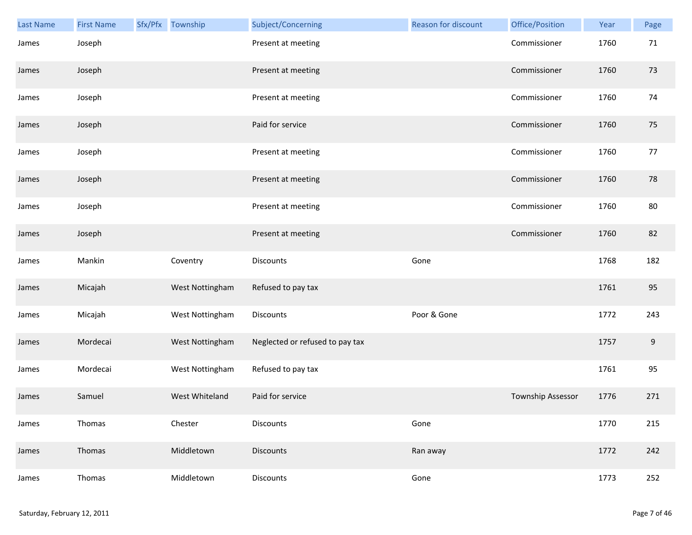| Last Name | <b>First Name</b> | Sfx/Pfx Township | Subject/Concerning              | Reason for discount | Office/Position   | Year | Page  |
|-----------|-------------------|------------------|---------------------------------|---------------------|-------------------|------|-------|
| James     | Joseph            |                  | Present at meeting              |                     | Commissioner      | 1760 | 71    |
| James     | Joseph            |                  | Present at meeting              |                     | Commissioner      | 1760 | 73    |
| James     | Joseph            |                  | Present at meeting              |                     | Commissioner      | 1760 | 74    |
| James     | Joseph            |                  | Paid for service                |                     | Commissioner      | 1760 | 75    |
| James     | Joseph            |                  | Present at meeting              |                     | Commissioner      | 1760 | 77    |
| James     | Joseph            |                  | Present at meeting              |                     | Commissioner      | 1760 | 78    |
| James     | Joseph            |                  | Present at meeting              |                     | Commissioner      | 1760 | 80    |
| James     | Joseph            |                  | Present at meeting              |                     | Commissioner      | 1760 | 82    |
| James     | Mankin            | Coventry         | Discounts                       | Gone                |                   | 1768 | 182   |
| James     | Micajah           | West Nottingham  | Refused to pay tax              |                     |                   | 1761 | 95    |
| James     | Micajah           | West Nottingham  | Discounts                       | Poor & Gone         |                   | 1772 | 243   |
| James     | Mordecai          | West Nottingham  | Neglected or refused to pay tax |                     |                   | 1757 | $9\,$ |
| James     | Mordecai          | West Nottingham  | Refused to pay tax              |                     |                   | 1761 | 95    |
| James     | Samuel            | West Whiteland   | Paid for service                |                     | Township Assessor | 1776 | 271   |
| James     | Thomas            | Chester          | Discounts                       | Gone                |                   | 1770 | 215   |
| James     | Thomas            | Middletown       | <b>Discounts</b>                | Ran away            |                   | 1772 | 242   |
| James     | Thomas            | Middletown       | Discounts                       | Gone                |                   | 1773 | 252   |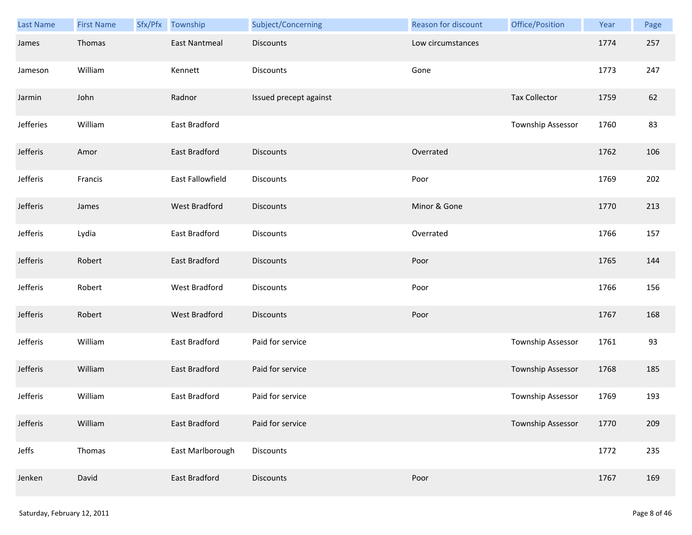| Last Name | <b>First Name</b> | Sfx/Pfx | Township             | Subject/Concerning     | Reason for discount | Office/Position          | Year | Page |
|-----------|-------------------|---------|----------------------|------------------------|---------------------|--------------------------|------|------|
| James     | Thomas            |         | <b>East Nantmeal</b> | <b>Discounts</b>       | Low circumstances   |                          | 1774 | 257  |
| Jameson   | William           |         | Kennett              | Discounts              | Gone                |                          | 1773 | 247  |
| Jarmin    | John              |         | Radnor               | Issued precept against |                     | <b>Tax Collector</b>     | 1759 | 62   |
| Jefferies | William           |         | East Bradford        |                        |                     | Township Assessor        | 1760 | 83   |
| Jefferis  | Amor              |         | East Bradford        | <b>Discounts</b>       | Overrated           |                          | 1762 | 106  |
| Jefferis  | Francis           |         | East Fallowfield     | Discounts              | Poor                |                          | 1769 | 202  |
| Jefferis  | James             |         | <b>West Bradford</b> | <b>Discounts</b>       | Minor & Gone        |                          | 1770 | 213  |
| Jefferis  | Lydia             |         | East Bradford        | Discounts              | Overrated           |                          | 1766 | 157  |
| Jefferis  | Robert            |         | East Bradford        | <b>Discounts</b>       | Poor                |                          | 1765 | 144  |
| Jefferis  | Robert            |         | West Bradford        | Discounts              | Poor                |                          | 1766 | 156  |
| Jefferis  | Robert            |         | West Bradford        | <b>Discounts</b>       | Poor                |                          | 1767 | 168  |
| Jefferis  | William           |         | East Bradford        | Paid for service       |                     | Township Assessor        | 1761 | 93   |
| Jefferis  | William           |         | East Bradford        | Paid for service       |                     | <b>Township Assessor</b> | 1768 | 185  |
| Jefferis  | William           |         | East Bradford        | Paid for service       |                     | Township Assessor        | 1769 | 193  |
| Jefferis  | William           |         | East Bradford        | Paid for service       |                     | Township Assessor        | 1770 | 209  |
| Jeffs     | Thomas            |         | East Marlborough     | <b>Discounts</b>       |                     |                          | 1772 | 235  |
| Jenken    | David             |         | East Bradford        | Discounts              | Poor                |                          | 1767 | 169  |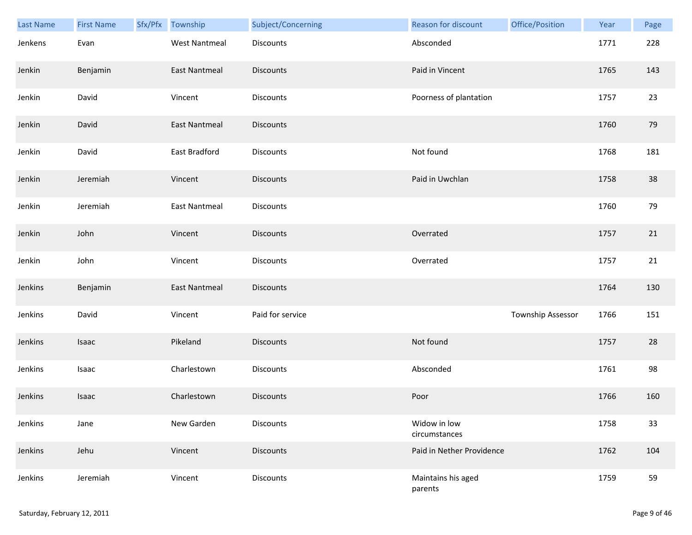| <b>Last Name</b> | <b>First Name</b> | Sfx/Pfx | Township             | Subject/Concerning | <b>Reason for discount</b>    | Office/Position   | Year | Page |
|------------------|-------------------|---------|----------------------|--------------------|-------------------------------|-------------------|------|------|
| Jenkens          | Evan              |         | <b>West Nantmeal</b> | Discounts          | Absconded                     |                   | 1771 | 228  |
| Jenkin           | Benjamin          |         | <b>East Nantmeal</b> | <b>Discounts</b>   | Paid in Vincent               |                   | 1765 | 143  |
| Jenkin           | David             |         | Vincent              | Discounts          | Poorness of plantation        |                   | 1757 | 23   |
| Jenkin           | David             |         | <b>East Nantmeal</b> | <b>Discounts</b>   |                               |                   | 1760 | 79   |
| Jenkin           | David             |         | East Bradford        | Discounts          | Not found                     |                   | 1768 | 181  |
| Jenkin           | Jeremiah          |         | Vincent              | <b>Discounts</b>   | Paid in Uwchlan               |                   | 1758 | 38   |
| Jenkin           | Jeremiah          |         | <b>East Nantmeal</b> | Discounts          |                               |                   | 1760 | 79   |
| Jenkin           | John              |         | Vincent              | Discounts          | Overrated                     |                   | 1757 | 21   |
| Jenkin           | John              |         | Vincent              | Discounts          | Overrated                     |                   | 1757 | 21   |
| Jenkins          | Benjamin          |         | <b>East Nantmeal</b> | <b>Discounts</b>   |                               |                   | 1764 | 130  |
| Jenkins          | David             |         | Vincent              | Paid for service   |                               | Township Assessor | 1766 | 151  |
| Jenkins          | Isaac             |         | Pikeland             | <b>Discounts</b>   | Not found                     |                   | 1757 | 28   |
| Jenkins          | Isaac             |         | Charlestown          | Discounts          | Absconded                     |                   | 1761 | 98   |
| Jenkins          | Isaac             |         | Charlestown          | Discounts          | Poor                          |                   | 1766 | 160  |
| Jenkins          | Jane              |         | New Garden           | Discounts          | Widow in low<br>circumstances |                   | 1758 | 33   |
| Jenkins          | Jehu              |         | Vincent              | <b>Discounts</b>   | Paid in Nether Providence     |                   | 1762 | 104  |
| Jenkins          | Jeremiah          |         | Vincent              | Discounts          | Maintains his aged<br>parents |                   | 1759 | 59   |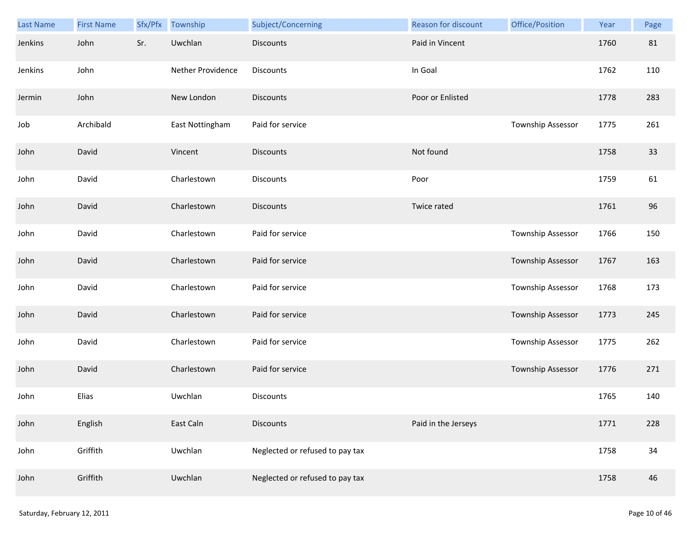| <b>Last Name</b> | <b>First Name</b> | Sfx/Pfx | Township          | Subject/Concerning              | Reason for discount | Office/Position   | Year | Page |
|------------------|-------------------|---------|-------------------|---------------------------------|---------------------|-------------------|------|------|
| Jenkins          | John              | Sr.     | Uwchlan           | <b>Discounts</b>                | Paid in Vincent     |                   | 1760 | 81   |
| Jenkins          | John              |         | Nether Providence | Discounts                       | In Goal             |                   | 1762 | 110  |
| Jermin           | John              |         | New London        | <b>Discounts</b>                | Poor or Enlisted    |                   | 1778 | 283  |
| Job              | Archibald         |         | East Nottingham   | Paid for service                |                     | Township Assessor | 1775 | 261  |
| John             | David             |         | Vincent           | <b>Discounts</b>                | Not found           |                   | 1758 | 33   |
| John             | David             |         | Charlestown       | Discounts                       | Poor                |                   | 1759 | 61   |
| John             | David             |         | Charlestown       | <b>Discounts</b>                | Twice rated         |                   | 1761 | 96   |
| John             | David             |         | Charlestown       | Paid for service                |                     | Township Assessor | 1766 | 150  |
| John             | David             |         | Charlestown       | Paid for service                |                     | Township Assessor | 1767 | 163  |
| John             | David             |         | Charlestown       | Paid for service                |                     | Township Assessor | 1768 | 173  |
| John             | David             |         | Charlestown       | Paid for service                |                     | Township Assessor | 1773 | 245  |
| John             | David             |         | Charlestown       | Paid for service                |                     | Township Assessor | 1775 | 262  |
| John             | David             |         | Charlestown       | Paid for service                |                     | Township Assessor | 1776 | 271  |
| John             | Elias             |         | Uwchlan           | Discounts                       |                     |                   | 1765 | 140  |
| John             | English           |         | East Caln         | <b>Discounts</b>                | Paid in the Jerseys |                   | 1771 | 228  |
| John             | Griffith          |         | Uwchlan           | Neglected or refused to pay tax |                     |                   | 1758 | 34   |
| John             | Griffith          |         | Uwchlan           | Neglected or refused to pay tax |                     |                   | 1758 | 46   |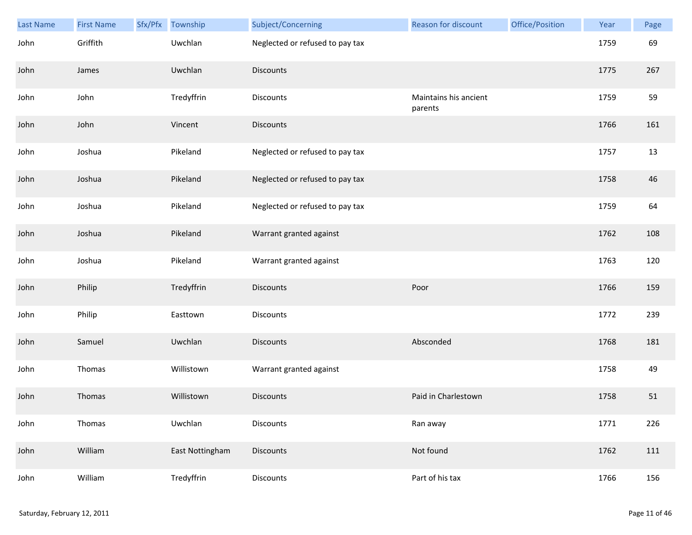| <b>Last Name</b> | <b>First Name</b> | Sfx/Pfx | Township        | Subject/Concerning              | <b>Reason for discount</b>       | Office/Position | Year | Page |
|------------------|-------------------|---------|-----------------|---------------------------------|----------------------------------|-----------------|------|------|
| John             | Griffith          |         | Uwchlan         | Neglected or refused to pay tax |                                  |                 | 1759 | 69   |
| John             | James             |         | Uwchlan         | <b>Discounts</b>                |                                  |                 | 1775 | 267  |
| John             | John              |         | Tredyffrin      | Discounts                       | Maintains his ancient<br>parents |                 | 1759 | 59   |
| John             | John              |         | Vincent         | <b>Discounts</b>                |                                  |                 | 1766 | 161  |
| John             | Joshua            |         | Pikeland        | Neglected or refused to pay tax |                                  |                 | 1757 | 13   |
| John             | Joshua            |         | Pikeland        | Neglected or refused to pay tax |                                  |                 | 1758 | 46   |
| John             | Joshua            |         | Pikeland        | Neglected or refused to pay tax |                                  |                 | 1759 | 64   |
| John             | Joshua            |         | Pikeland        | Warrant granted against         |                                  |                 | 1762 | 108  |
| John             | Joshua            |         | Pikeland        | Warrant granted against         |                                  |                 | 1763 | 120  |
| John             | Philip            |         | Tredyffrin      | <b>Discounts</b>                | Poor                             |                 | 1766 | 159  |
| John             | Philip            |         | Easttown        | Discounts                       |                                  |                 | 1772 | 239  |
| John             | Samuel            |         | Uwchlan         | <b>Discounts</b>                | Absconded                        |                 | 1768 | 181  |
| John             | Thomas            |         | Willistown      | Warrant granted against         |                                  |                 | 1758 | 49   |
| John             | Thomas            |         | Willistown      | <b>Discounts</b>                | Paid in Charlestown              |                 | 1758 | 51   |
| John             | Thomas            |         | Uwchlan         | <b>Discounts</b>                | Ran away                         |                 | 1771 | 226  |
| John             | William           |         | East Nottingham | <b>Discounts</b>                | Not found                        |                 | 1762 | 111  |
| John             | William           |         | Tredyffrin      | Discounts                       | Part of his tax                  |                 | 1766 | 156  |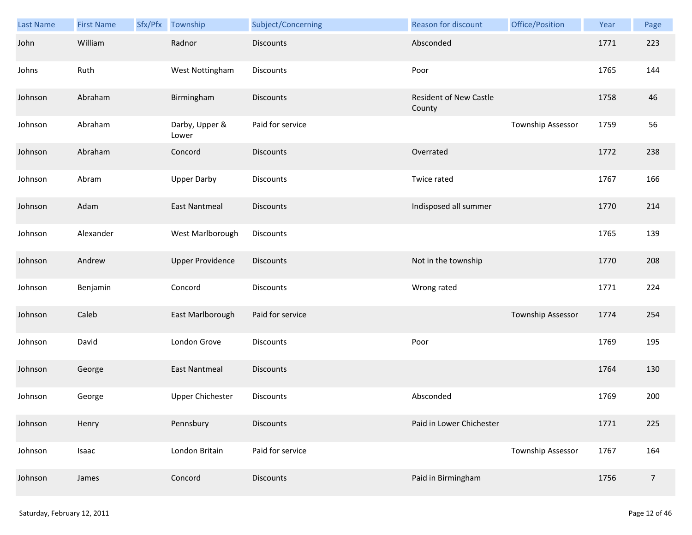| Last Name | <b>First Name</b> | Sfx/Pfx | Township                | Subject/Concerning | <b>Reason for discount</b>       | Office/Position          | Year | Page           |
|-----------|-------------------|---------|-------------------------|--------------------|----------------------------------|--------------------------|------|----------------|
| John      | William           |         | Radnor                  | <b>Discounts</b>   | Absconded                        |                          | 1771 | 223            |
| Johns     | Ruth              |         | West Nottingham         | <b>Discounts</b>   | Poor                             |                          | 1765 | 144            |
| Johnson   | Abraham           |         | Birmingham              | <b>Discounts</b>   | Resident of New Castle<br>County |                          | 1758 | 46             |
| Johnson   | Abraham           |         | Darby, Upper &<br>Lower | Paid for service   |                                  | Township Assessor        | 1759 | 56             |
| Johnson   | Abraham           |         | Concord                 | <b>Discounts</b>   | Overrated                        |                          | 1772 | 238            |
| Johnson   | Abram             |         | <b>Upper Darby</b>      | Discounts          | Twice rated                      |                          | 1767 | 166            |
| Johnson   | Adam              |         | <b>East Nantmeal</b>    | <b>Discounts</b>   | Indisposed all summer            |                          | 1770 | 214            |
| Johnson   | Alexander         |         | West Marlborough        | Discounts          |                                  |                          | 1765 | 139            |
| Johnson   | Andrew            |         | <b>Upper Providence</b> | Discounts          | Not in the township              |                          | 1770 | 208            |
| Johnson   | Benjamin          |         | Concord                 | Discounts          | Wrong rated                      |                          | 1771 | 224            |
| Johnson   | Caleb             |         | East Marlborough        | Paid for service   |                                  | <b>Township Assessor</b> | 1774 | 254            |
| Johnson   | David             |         | London Grove            | Discounts          | Poor                             |                          | 1769 | 195            |
| Johnson   | George            |         | <b>East Nantmeal</b>    | <b>Discounts</b>   |                                  |                          | 1764 | 130            |
| Johnson   | George            |         | <b>Upper Chichester</b> | Discounts          | Absconded                        |                          | 1769 | 200            |
| Johnson   | Henry             |         | Pennsbury               | <b>Discounts</b>   | Paid in Lower Chichester         |                          | 1771 | 225            |
| Johnson   | Isaac             |         | London Britain          | Paid for service   |                                  | <b>Township Assessor</b> | 1767 | 164            |
| Johnson   | James             |         | Concord                 | <b>Discounts</b>   | Paid in Birmingham               |                          | 1756 | $\overline{7}$ |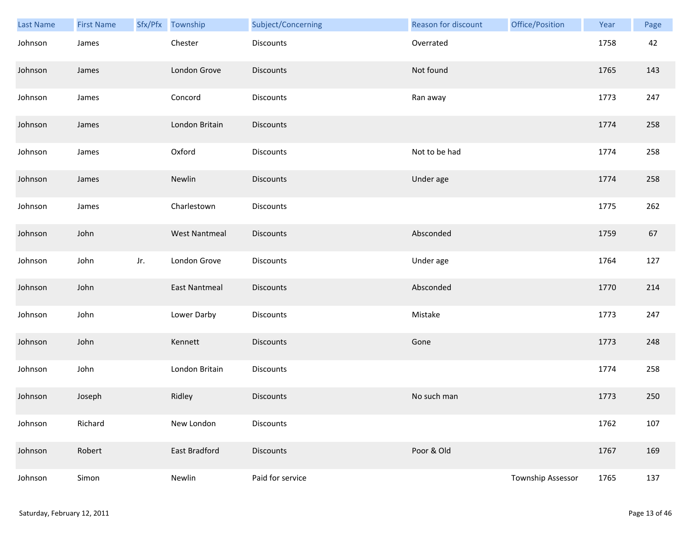| Last Name | <b>First Name</b> |     | Sfx/Pfx Township     | Subject/Concerning | <b>Reason for discount</b> | Office/Position   | Year | Page |
|-----------|-------------------|-----|----------------------|--------------------|----------------------------|-------------------|------|------|
| Johnson   | James             |     | Chester              | <b>Discounts</b>   | Overrated                  |                   | 1758 | 42   |
| Johnson   | James             |     | London Grove         | <b>Discounts</b>   | Not found                  |                   | 1765 | 143  |
| Johnson   | James             |     | Concord              | Discounts          | Ran away                   |                   | 1773 | 247  |
| Johnson   | James             |     | London Britain       | <b>Discounts</b>   |                            |                   | 1774 | 258  |
| Johnson   | James             |     | Oxford               | Discounts          | Not to be had              |                   | 1774 | 258  |
| Johnson   | James             |     | Newlin               | <b>Discounts</b>   | Under age                  |                   | 1774 | 258  |
| Johnson   | James             |     | Charlestown          | Discounts          |                            |                   | 1775 | 262  |
| Johnson   | John              |     | <b>West Nantmeal</b> | Discounts          | Absconded                  |                   | 1759 | 67   |
| Johnson   | John              | Jr. | London Grove         | Discounts          | Under age                  |                   | 1764 | 127  |
| Johnson   | John              |     | <b>East Nantmeal</b> | <b>Discounts</b>   | Absconded                  |                   | 1770 | 214  |
| Johnson   | John              |     | Lower Darby          | Discounts          | Mistake                    |                   | 1773 | 247  |
| Johnson   | John              |     | Kennett              | Discounts          | Gone                       |                   | 1773 | 248  |
| Johnson   | John              |     | London Britain       | Discounts          |                            |                   | 1774 | 258  |
| Johnson   | Joseph            |     | Ridley               | <b>Discounts</b>   | No such man                |                   | 1773 | 250  |
| Johnson   | Richard           |     | New London           | Discounts          |                            |                   | 1762 | 107  |
| Johnson   | Robert            |     | East Bradford        | <b>Discounts</b>   | Poor & Old                 |                   | 1767 | 169  |
| Johnson   | Simon             |     | Newlin               | Paid for service   |                            | Township Assessor | 1765 | 137  |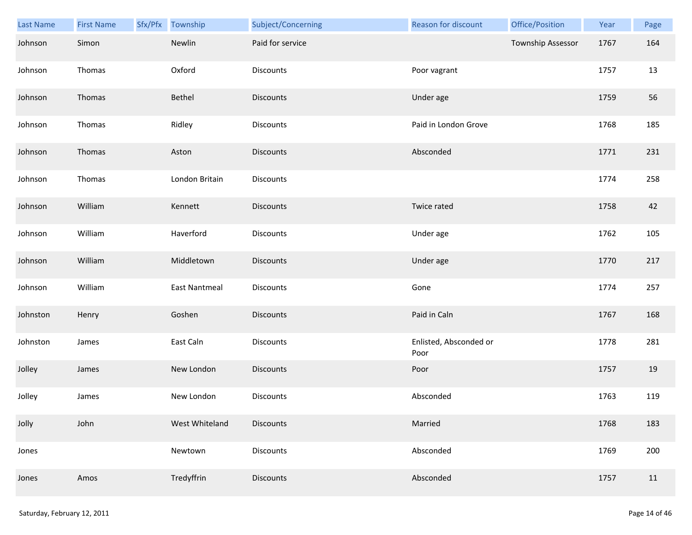| <b>Last Name</b> | <b>First Name</b> | Sfx/Pfx Township | Subject/Concerning | Reason for discount            | Office/Position   | Year | Page |
|------------------|-------------------|------------------|--------------------|--------------------------------|-------------------|------|------|
| Johnson          | Simon             | Newlin           | Paid for service   |                                | Township Assessor | 1767 | 164  |
| Johnson          | Thomas            | Oxford           | Discounts          | Poor vagrant                   |                   | 1757 | 13   |
| Johnson          | Thomas            | Bethel           | <b>Discounts</b>   | Under age                      |                   | 1759 | 56   |
| Johnson          | Thomas            | Ridley           | <b>Discounts</b>   | Paid in London Grove           |                   | 1768 | 185  |
| Johnson          | Thomas            | Aston            | <b>Discounts</b>   | Absconded                      |                   | 1771 | 231  |
| Johnson          | Thomas            | London Britain   | Discounts          |                                |                   | 1774 | 258  |
| Johnson          | William           | Kennett          | <b>Discounts</b>   | Twice rated                    |                   | 1758 | 42   |
| Johnson          | William           | Haverford        | Discounts          | Under age                      |                   | 1762 | 105  |
| Johnson          | William           | Middletown       | <b>Discounts</b>   | Under age                      |                   | 1770 | 217  |
| Johnson          | William           | East Nantmeal    | Discounts          | Gone                           |                   | 1774 | 257  |
| Johnston         | Henry             | Goshen           | <b>Discounts</b>   | Paid in Caln                   |                   | 1767 | 168  |
| Johnston         | James             | East Caln        | Discounts          | Enlisted, Absconded or<br>Poor |                   | 1778 | 281  |
| Jolley           | James             | New London       | Discounts          | Poor                           |                   | 1757 | 19   |
| Jolley           | James             | New London       | Discounts          | Absconded                      |                   | 1763 | 119  |
| Jolly            | John              | West Whiteland   | <b>Discounts</b>   | Married                        |                   | 1768 | 183  |
| Jones            |                   | Newtown          | <b>Discounts</b>   | Absconded                      |                   | 1769 | 200  |
| Jones            | Amos              | Tredyffrin       | <b>Discounts</b>   | Absconded                      |                   | 1757 | 11   |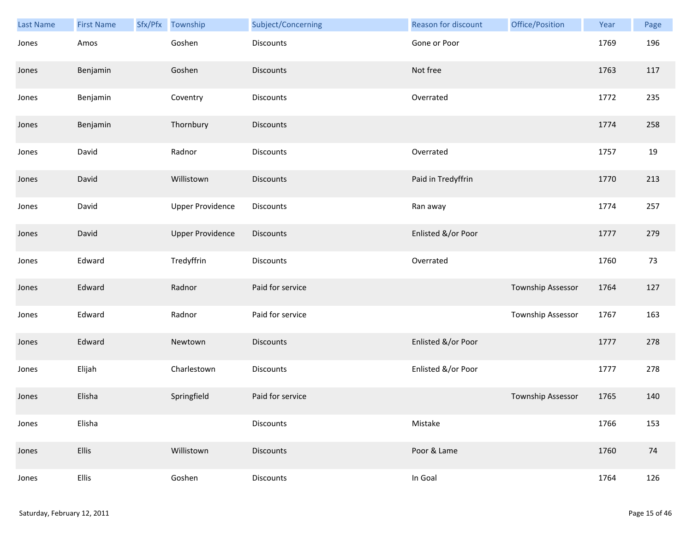| Last Name | <b>First Name</b> | Sfx/Pfx Township        | Subject/Concerning | <b>Reason for discount</b> | Office/Position          | Year | Page |
|-----------|-------------------|-------------------------|--------------------|----------------------------|--------------------------|------|------|
| Jones     | Amos              | Goshen                  | Discounts          | Gone or Poor               |                          | 1769 | 196  |
| Jones     | Benjamin          | Goshen                  | <b>Discounts</b>   | Not free                   |                          | 1763 | 117  |
| Jones     | Benjamin          | Coventry                | Discounts          | Overrated                  |                          | 1772 | 235  |
| Jones     | Benjamin          | Thornbury               | <b>Discounts</b>   |                            |                          | 1774 | 258  |
| Jones     | David             | Radnor                  | Discounts          | Overrated                  |                          | 1757 | 19   |
| Jones     | David             | Willistown              | <b>Discounts</b>   | Paid in Tredyffrin         |                          | 1770 | 213  |
| Jones     | David             | <b>Upper Providence</b> | Discounts          | Ran away                   |                          | 1774 | 257  |
| Jones     | David             | <b>Upper Providence</b> | <b>Discounts</b>   | Enlisted &/or Poor         |                          | 1777 | 279  |
| Jones     | Edward            | Tredyffrin              | Discounts          | Overrated                  |                          | 1760 | 73   |
| Jones     | Edward            | Radnor                  | Paid for service   |                            | Township Assessor        | 1764 | 127  |
| Jones     | Edward            | Radnor                  | Paid for service   |                            | <b>Township Assessor</b> | 1767 | 163  |
| Jones     | Edward            | Newtown                 | Discounts          | Enlisted &/or Poor         |                          | 1777 | 278  |
| Jones     | Elijah            | Charlestown             | Discounts          | Enlisted &/or Poor         |                          | 1777 | 278  |
| Jones     | Elisha            | Springfield             | Paid for service   |                            | Township Assessor        | 1765 | 140  |
| Jones     | Elisha            |                         | Discounts          | Mistake                    |                          | 1766 | 153  |
| Jones     | <b>Ellis</b>      | Willistown              | Discounts          | Poor & Lame                |                          | 1760 | 74   |
| Jones     | Ellis             | Goshen                  | Discounts          | In Goal                    |                          | 1764 | 126  |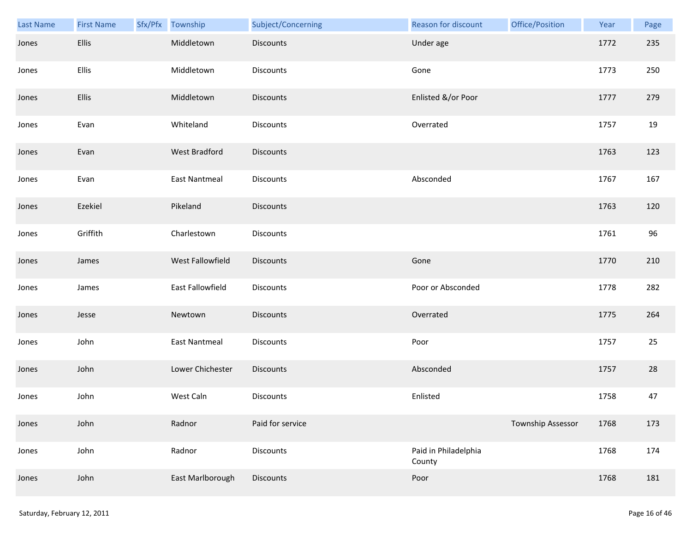| Last Name | <b>First Name</b> | Sfx/Pfx Township     | Subject/Concerning | Reason for discount            | Office/Position   | Year | Page |
|-----------|-------------------|----------------------|--------------------|--------------------------------|-------------------|------|------|
| Jones     | Ellis             | Middletown           | Discounts          | Under age                      |                   | 1772 | 235  |
| Jones     | Ellis             | Middletown           | Discounts          | Gone                           |                   | 1773 | 250  |
| Jones     | Ellis             | Middletown           | <b>Discounts</b>   | Enlisted &/or Poor             |                   | 1777 | 279  |
| Jones     | Evan              | Whiteland            | <b>Discounts</b>   | Overrated                      |                   | 1757 | 19   |
| Jones     | Evan              | <b>West Bradford</b> | <b>Discounts</b>   |                                |                   | 1763 | 123  |
| Jones     | Evan              | East Nantmeal        | Discounts          | Absconded                      |                   | 1767 | 167  |
| Jones     | Ezekiel           | Pikeland             | <b>Discounts</b>   |                                |                   | 1763 | 120  |
| Jones     | Griffith          | Charlestown          | Discounts          |                                |                   | 1761 | 96   |
| Jones     | James             | West Fallowfield     | Discounts          | Gone                           |                   | 1770 | 210  |
| Jones     | James             | East Fallowfield     | Discounts          | Poor or Absconded              |                   | 1778 | 282  |
| Jones     | Jesse             | Newtown              | <b>Discounts</b>   | Overrated                      |                   | 1775 | 264  |
| Jones     | John              | <b>East Nantmeal</b> | Discounts          | Poor                           |                   | 1757 | 25   |
| Jones     | John              | Lower Chichester     | Discounts          | Absconded                      |                   | 1757 | 28   |
| Jones     | John              | West Caln            | <b>Discounts</b>   | Enlisted                       |                   | 1758 | 47   |
| Jones     | John              | Radnor               | Paid for service   |                                | Township Assessor | 1768 | 173  |
| Jones     | John              | Radnor               | <b>Discounts</b>   | Paid in Philadelphia<br>County |                   | 1768 | 174  |
| Jones     | John              | East Marlborough     | Discounts          | Poor                           |                   | 1768 | 181  |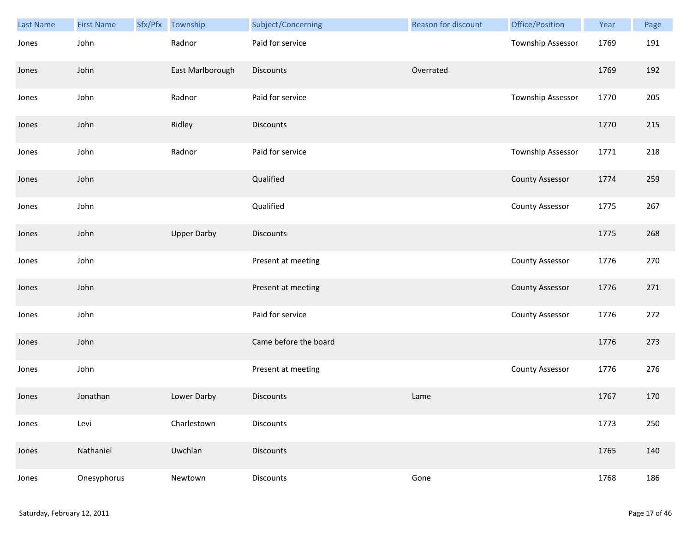| Last Name | <b>First Name</b> | Sfx/Pfx | Township           | Subject/Concerning    | Reason for discount | Office/Position        | Year | Page |
|-----------|-------------------|---------|--------------------|-----------------------|---------------------|------------------------|------|------|
| Jones     | John              |         | Radnor             | Paid for service      |                     | Township Assessor      | 1769 | 191  |
| Jones     | John              |         | East Marlborough   | Discounts             | Overrated           |                        | 1769 | 192  |
| Jones     | John              |         | Radnor             | Paid for service      |                     | Township Assessor      | 1770 | 205  |
| Jones     | John              |         | Ridley             | <b>Discounts</b>      |                     |                        | 1770 | 215  |
| Jones     | John              |         | Radnor             | Paid for service      |                     | Township Assessor      | 1771 | 218  |
| Jones     | John              |         |                    | Qualified             |                     | <b>County Assessor</b> | 1774 | 259  |
| Jones     | John              |         |                    | Qualified             |                     | <b>County Assessor</b> | 1775 | 267  |
| Jones     | John              |         | <b>Upper Darby</b> | Discounts             |                     |                        | 1775 | 268  |
| Jones     | John              |         |                    | Present at meeting    |                     | <b>County Assessor</b> | 1776 | 270  |
| Jones     | John              |         |                    | Present at meeting    |                     | <b>County Assessor</b> | 1776 | 271  |
| Jones     | John              |         |                    | Paid for service      |                     | <b>County Assessor</b> | 1776 | 272  |
| Jones     | John              |         |                    | Came before the board |                     |                        | 1776 | 273  |
| Jones     | John              |         |                    | Present at meeting    |                     | <b>County Assessor</b> | 1776 | 276  |
| Jones     | Jonathan          |         | Lower Darby        | <b>Discounts</b>      | Lame                |                        | 1767 | 170  |
| Jones     | Levi              |         | Charlestown        | <b>Discounts</b>      |                     |                        | 1773 | 250  |
| Jones     | Nathaniel         |         | Uwchlan            | <b>Discounts</b>      |                     |                        | 1765 | 140  |
| Jones     | Onesyphorus       |         | Newtown            | Discounts             | Gone                |                        | 1768 | 186  |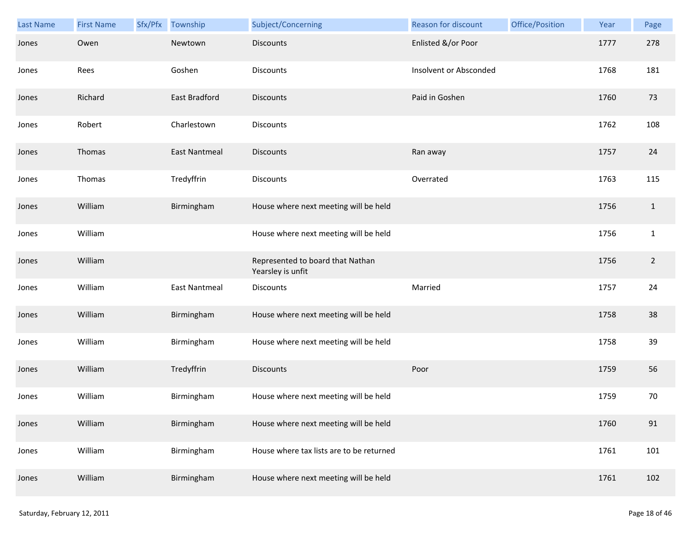| Last Name | <b>First Name</b> | Sfx/Pfx | Township             | Subject/Concerning                                    | Reason for discount    | Office/Position | Year | Page           |
|-----------|-------------------|---------|----------------------|-------------------------------------------------------|------------------------|-----------------|------|----------------|
| Jones     | Owen              |         | Newtown              | <b>Discounts</b>                                      | Enlisted &/or Poor     |                 | 1777 | 278            |
| Jones     | Rees              |         | Goshen               | Discounts                                             | Insolvent or Absconded |                 | 1768 | 181            |
| Jones     | Richard           |         | East Bradford        | <b>Discounts</b>                                      | Paid in Goshen         |                 | 1760 | 73             |
| Jones     | Robert            |         | Charlestown          | Discounts                                             |                        |                 | 1762 | 108            |
| Jones     | Thomas            |         | <b>East Nantmeal</b> | <b>Discounts</b>                                      | Ran away               |                 | 1757 | 24             |
| Jones     | Thomas            |         | Tredyffrin           | Discounts                                             | Overrated              |                 | 1763 | 115            |
| Jones     | William           |         | Birmingham           | House where next meeting will be held                 |                        |                 | 1756 | $\mathbf{1}$   |
| Jones     | William           |         |                      | House where next meeting will be held                 |                        |                 | 1756 | $\mathbf{1}$   |
| Jones     | William           |         |                      | Represented to board that Nathan<br>Yearsley is unfit |                        |                 | 1756 | $\overline{2}$ |
| Jones     | William           |         | <b>East Nantmeal</b> | <b>Discounts</b>                                      | Married                |                 | 1757 | 24             |
| Jones     | William           |         | Birmingham           | House where next meeting will be held                 |                        |                 | 1758 | 38             |
| Jones     | William           |         | Birmingham           | House where next meeting will be held                 |                        |                 | 1758 | 39             |
| Jones     | William           |         | Tredyffrin           | Discounts                                             | Poor                   |                 | 1759 | 56             |
| Jones     | William           |         | Birmingham           | House where next meeting will be held                 |                        |                 | 1759 | 70             |
| Jones     | William           |         | Birmingham           | House where next meeting will be held                 |                        |                 | 1760 | 91             |
| Jones     | William           |         | Birmingham           | House where tax lists are to be returned              |                        |                 | 1761 | 101            |
| Jones     | William           |         | Birmingham           | House where next meeting will be held                 |                        |                 | 1761 | 102            |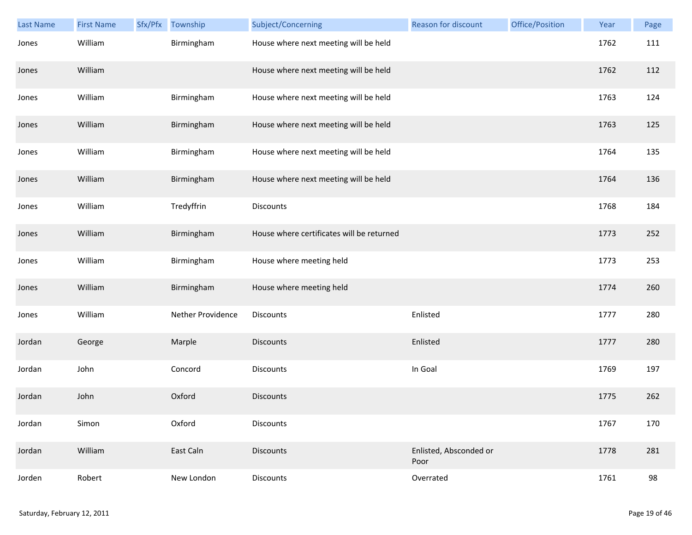| <b>Last Name</b> | <b>First Name</b> | Sfx/Pfx | Township          | Subject/Concerning                        | Reason for discount            | Office/Position | Year | Page |
|------------------|-------------------|---------|-------------------|-------------------------------------------|--------------------------------|-----------------|------|------|
| Jones            | William           |         | Birmingham        | House where next meeting will be held     |                                |                 | 1762 | 111  |
| Jones            | William           |         |                   | House where next meeting will be held     |                                |                 | 1762 | 112  |
| Jones            | William           |         | Birmingham        | House where next meeting will be held     |                                |                 | 1763 | 124  |
| Jones            | William           |         | Birmingham        | House where next meeting will be held     |                                |                 | 1763 | 125  |
| Jones            | William           |         | Birmingham        | House where next meeting will be held     |                                |                 | 1764 | 135  |
| Jones            | William           |         | Birmingham        | House where next meeting will be held     |                                |                 | 1764 | 136  |
| Jones            | William           |         | Tredyffrin        | Discounts                                 |                                |                 | 1768 | 184  |
| Jones            | William           |         | Birmingham        | House where certificates will be returned |                                |                 | 1773 | 252  |
| Jones            | William           |         | Birmingham        | House where meeting held                  |                                |                 | 1773 | 253  |
| Jones            | William           |         | Birmingham        | House where meeting held                  |                                |                 | 1774 | 260  |
| Jones            | William           |         | Nether Providence | Discounts                                 | Enlisted                       |                 | 1777 | 280  |
| Jordan           | George            |         | Marple            | <b>Discounts</b>                          | Enlisted                       |                 | 1777 | 280  |
| Jordan           | John              |         | Concord           | Discounts                                 | In Goal                        |                 | 1769 | 197  |
| Jordan           | John              |         | Oxford            | <b>Discounts</b>                          |                                |                 | 1775 | 262  |
| Jordan           | Simon             |         | Oxford            | Discounts                                 |                                |                 | 1767 | 170  |
| Jordan           | William           |         | East Caln         | <b>Discounts</b>                          | Enlisted, Absconded or<br>Poor |                 | 1778 | 281  |
| Jorden           | Robert            |         | New London        | <b>Discounts</b>                          | Overrated                      |                 | 1761 | 98   |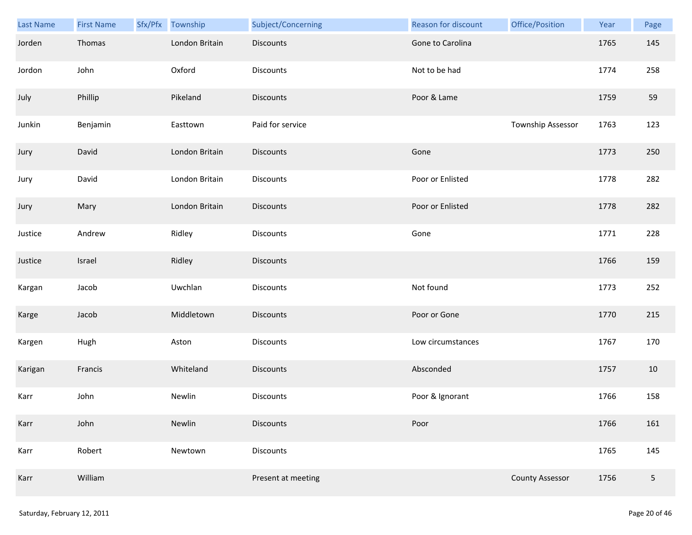| Last Name | <b>First Name</b> | Sfx/Pfx | Township       | Subject/Concerning | Reason for discount | Office/Position        | Year | Page   |
|-----------|-------------------|---------|----------------|--------------------|---------------------|------------------------|------|--------|
| Jorden    | Thomas            |         | London Britain | <b>Discounts</b>   | Gone to Carolina    |                        | 1765 | 145    |
| Jordon    | John              |         | Oxford         | <b>Discounts</b>   | Not to be had       |                        | 1774 | 258    |
| July      | Phillip           |         | Pikeland       | <b>Discounts</b>   | Poor & Lame         |                        | 1759 | 59     |
| Junkin    | Benjamin          |         | Easttown       | Paid for service   |                     | Township Assessor      | 1763 | 123    |
| Jury      | David             |         | London Britain | <b>Discounts</b>   | Gone                |                        | 1773 | 250    |
| Jury      | David             |         | London Britain | <b>Discounts</b>   | Poor or Enlisted    |                        | 1778 | 282    |
| Jury      | Mary              |         | London Britain | Discounts          | Poor or Enlisted    |                        | 1778 | 282    |
| Justice   | Andrew            |         | Ridley         | Discounts          | Gone                |                        | 1771 | 228    |
| Justice   | Israel            |         | Ridley         | <b>Discounts</b>   |                     |                        | 1766 | 159    |
| Kargan    | Jacob             |         | Uwchlan        | Discounts          | Not found           |                        | 1773 | 252    |
| Karge     | Jacob             |         | Middletown     | Discounts          | Poor or Gone        |                        | 1770 | 215    |
| Kargen    | Hugh              |         | Aston          | Discounts          | Low circumstances   |                        | 1767 | 170    |
| Karigan   | Francis           |         | Whiteland      | Discounts          | Absconded           |                        | 1757 | $10\,$ |
| Karr      | John              |         | Newlin         | <b>Discounts</b>   | Poor & Ignorant     |                        | 1766 | 158    |
| Karr      | John              |         | Newlin         | <b>Discounts</b>   | Poor                |                        | 1766 | 161    |
| Karr      | Robert            |         | Newtown        | <b>Discounts</b>   |                     |                        | 1765 | 145    |
| Karr      | William           |         |                | Present at meeting |                     | <b>County Assessor</b> | 1756 | 5      |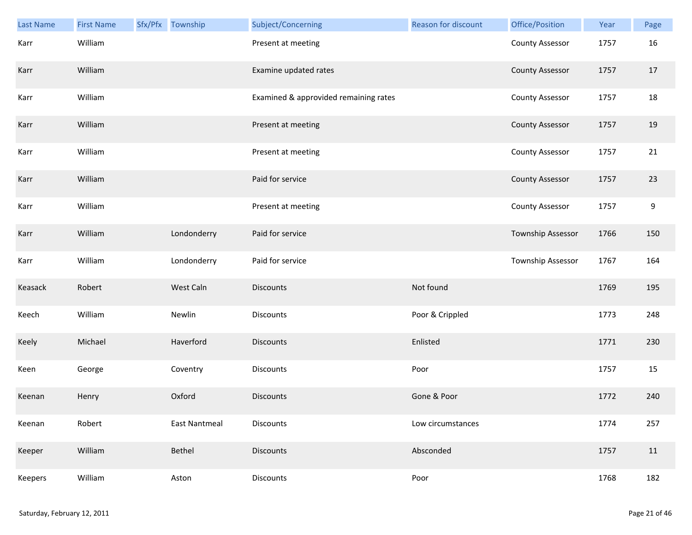| <b>Last Name</b> | <b>First Name</b> | Sfx/Pfx Township     | Subject/Concerning                    | Reason for discount | Office/Position        | Year | Page |
|------------------|-------------------|----------------------|---------------------------------------|---------------------|------------------------|------|------|
| Karr             | William           |                      | Present at meeting                    |                     | <b>County Assessor</b> | 1757 | 16   |
| Karr             | William           |                      | Examine updated rates                 |                     | <b>County Assessor</b> | 1757 | 17   |
| Karr             | William           |                      | Examined & approvided remaining rates |                     | <b>County Assessor</b> | 1757 | 18   |
| Karr             | William           |                      | Present at meeting                    |                     | <b>County Assessor</b> | 1757 | 19   |
| Karr             | William           |                      | Present at meeting                    |                     | <b>County Assessor</b> | 1757 | 21   |
| Karr             | William           |                      | Paid for service                      |                     | <b>County Assessor</b> | 1757 | 23   |
| Karr             | William           |                      | Present at meeting                    |                     | <b>County Assessor</b> | 1757 | 9    |
| Karr             | William           | Londonderry          | Paid for service                      |                     | Township Assessor      | 1766 | 150  |
| Karr             | William           | Londonderry          | Paid for service                      |                     | Township Assessor      | 1767 | 164  |
| Keasack          | Robert            | West Caln            | <b>Discounts</b>                      | Not found           |                        | 1769 | 195  |
| Keech            | William           | Newlin               | Discounts                             | Poor & Crippled     |                        | 1773 | 248  |
| Keely            | Michael           | Haverford            | <b>Discounts</b>                      | Enlisted            |                        | 1771 | 230  |
| Keen             | George            | Coventry             | Discounts                             | Poor                |                        | 1757 | 15   |
| Keenan           | Henry             | Oxford               | <b>Discounts</b>                      | Gone & Poor         |                        | 1772 | 240  |
| Keenan           | Robert            | <b>East Nantmeal</b> | <b>Discounts</b>                      | Low circumstances   |                        | 1774 | 257  |
| Keeper           | William           | Bethel               | <b>Discounts</b>                      | Absconded           |                        | 1757 | 11   |
| Keepers          | William           | Aston                | Discounts                             | Poor                |                        | 1768 | 182  |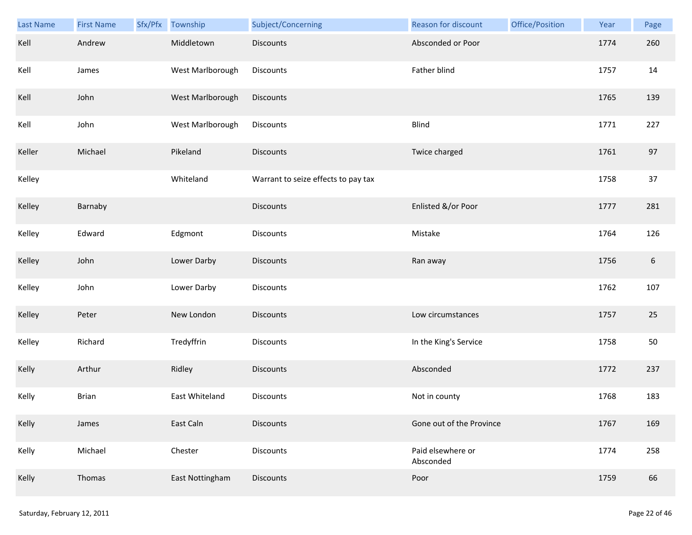| Last Name | <b>First Name</b> | Sfx/Pfx | Township         | Subject/Concerning                  | Reason for discount            | Office/Position | Year | Page |
|-----------|-------------------|---------|------------------|-------------------------------------|--------------------------------|-----------------|------|------|
| Kell      | Andrew            |         | Middletown       | <b>Discounts</b>                    | Absconded or Poor              |                 | 1774 | 260  |
| Kell      | James             |         | West Marlborough | <b>Discounts</b>                    | Father blind                   |                 | 1757 | 14   |
| Kell      | John              |         | West Marlborough | Discounts                           |                                |                 | 1765 | 139  |
| Kell      | John              |         | West Marlborough | Discounts                           | <b>Blind</b>                   |                 | 1771 | 227  |
| Keller    | Michael           |         | Pikeland         | <b>Discounts</b>                    | Twice charged                  |                 | 1761 | 97   |
| Kelley    |                   |         | Whiteland        | Warrant to seize effects to pay tax |                                |                 | 1758 | 37   |
| Kelley    | Barnaby           |         |                  | Discounts                           | Enlisted &/or Poor             |                 | 1777 | 281  |
| Kelley    | Edward            |         | Edgmont          | Discounts                           | Mistake                        |                 | 1764 | 126  |
| Kelley    | John              |         | Lower Darby      | <b>Discounts</b>                    | Ran away                       |                 | 1756 | 6    |
| Kelley    | John              |         | Lower Darby      | Discounts                           |                                |                 | 1762 | 107  |
| Kelley    | Peter             |         | New London       | <b>Discounts</b>                    | Low circumstances              |                 | 1757 | 25   |
| Kelley    | Richard           |         | Tredyffrin       | Discounts                           | In the King's Service          |                 | 1758 | 50   |
| Kelly     | Arthur            |         | Ridley           | Discounts                           | Absconded                      |                 | 1772 | 237  |
| Kelly     | <b>Brian</b>      |         | East Whiteland   | <b>Discounts</b>                    | Not in county                  |                 | 1768 | 183  |
| Kelly     | James             |         | East Caln        | <b>Discounts</b>                    | Gone out of the Province       |                 | 1767 | 169  |
| Kelly     | Michael           |         | Chester          | <b>Discounts</b>                    | Paid elsewhere or<br>Absconded |                 | 1774 | 258  |
| Kelly     | Thomas            |         | East Nottingham  | Discounts                           | Poor                           |                 | 1759 | 66   |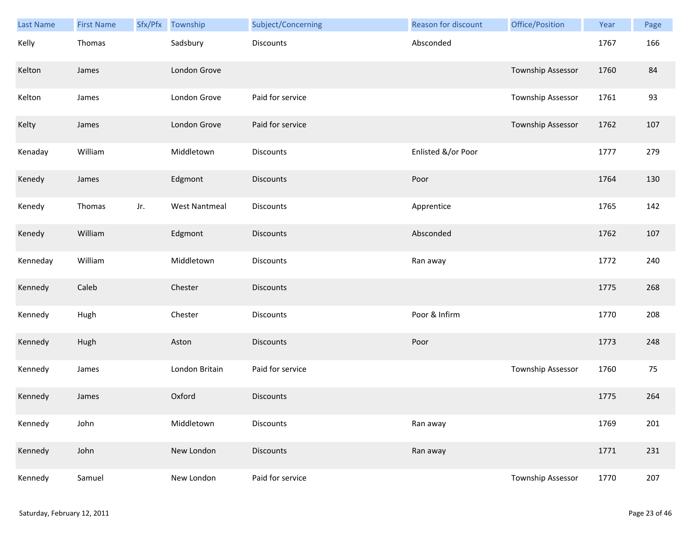| Last Name | <b>First Name</b> | Sfx/Pfx | Township             | Subject/Concerning | Reason for discount | Office/Position   | Year | Page |
|-----------|-------------------|---------|----------------------|--------------------|---------------------|-------------------|------|------|
| Kelly     | Thomas            |         | Sadsbury             | <b>Discounts</b>   | Absconded           |                   | 1767 | 166  |
| Kelton    | James             |         | London Grove         |                    |                     | Township Assessor | 1760 | 84   |
| Kelton    | James             |         | London Grove         | Paid for service   |                     | Township Assessor | 1761 | 93   |
| Kelty     | James             |         | London Grove         | Paid for service   |                     | Township Assessor | 1762 | 107  |
| Kenaday   | William           |         | Middletown           | Discounts          | Enlisted &/or Poor  |                   | 1777 | 279  |
| Kenedy    | James             |         | Edgmont              | <b>Discounts</b>   | Poor                |                   | 1764 | 130  |
| Kenedy    | Thomas            | Jr.     | <b>West Nantmeal</b> | Discounts          | Apprentice          |                   | 1765 | 142  |
| Kenedy    | William           |         | Edgmont              | Discounts          | Absconded           |                   | 1762 | 107  |
| Kenneday  | William           |         | Middletown           | Discounts          | Ran away            |                   | 1772 | 240  |
| Kennedy   | Caleb             |         | Chester              | <b>Discounts</b>   |                     |                   | 1775 | 268  |
| Kennedy   | Hugh              |         | Chester              | <b>Discounts</b>   | Poor & Infirm       |                   | 1770 | 208  |
| Kennedy   | Hugh              |         | Aston                | Discounts          | Poor                |                   | 1773 | 248  |
| Kennedy   | James             |         | London Britain       | Paid for service   |                     | Township Assessor | 1760 | 75   |
| Kennedy   | James             |         | Oxford               | <b>Discounts</b>   |                     |                   | 1775 | 264  |
| Kennedy   | John              |         | Middletown           | Discounts          | Ran away            |                   | 1769 | 201  |
| Kennedy   | John              |         | New London           | <b>Discounts</b>   | Ran away            |                   | 1771 | 231  |
| Kennedy   | Samuel            |         | New London           | Paid for service   |                     | Township Assessor | 1770 | 207  |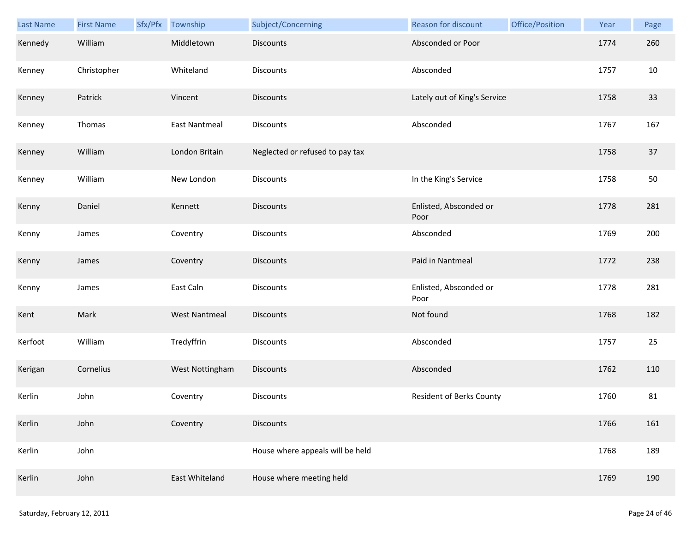| Last Name | <b>First Name</b> | Sfx/Pfx Township     | Subject/Concerning               | <b>Reason for discount</b>     | Office/Position | Year | Page |
|-----------|-------------------|----------------------|----------------------------------|--------------------------------|-----------------|------|------|
| Kennedy   | William           | Middletown           | <b>Discounts</b>                 | Absconded or Poor              |                 | 1774 | 260  |
| Kenney    | Christopher       | Whiteland            | Discounts                        | Absconded                      |                 | 1757 | 10   |
| Kenney    | Patrick           | Vincent              | <b>Discounts</b>                 | Lately out of King's Service   |                 | 1758 | 33   |
| Kenney    | Thomas            | <b>East Nantmeal</b> | <b>Discounts</b>                 | Absconded                      |                 | 1767 | 167  |
| Kenney    | William           | London Britain       | Neglected or refused to pay tax  |                                |                 | 1758 | 37   |
| Kenney    | William           | New London           | Discounts                        | In the King's Service          |                 | 1758 | 50   |
| Kenny     | Daniel            | Kennett              | <b>Discounts</b>                 | Enlisted, Absconded or<br>Poor |                 | 1778 | 281  |
| Kenny     | James             | Coventry             | Discounts                        | Absconded                      |                 | 1769 | 200  |
| Kenny     | James             | Coventry             | <b>Discounts</b>                 | Paid in Nantmeal               |                 | 1772 | 238  |
| Kenny     | James             | East Caln            | Discounts                        | Enlisted, Absconded or<br>Poor |                 | 1778 | 281  |
| Kent      | Mark              | <b>West Nantmeal</b> | Discounts                        | Not found                      |                 | 1768 | 182  |
| Kerfoot   | William           | Tredyffrin           | Discounts                        | Absconded                      |                 | 1757 | 25   |
| Kerigan   | Cornelius         | West Nottingham      | <b>Discounts</b>                 | Absconded                      |                 | 1762 | 110  |
| Kerlin    | John              | Coventry             | <b>Discounts</b>                 | Resident of Berks County       |                 | 1760 | 81   |
| Kerlin    | John              | Coventry             | <b>Discounts</b>                 |                                |                 | 1766 | 161  |
| Kerlin    | John              |                      | House where appeals will be held |                                |                 | 1768 | 189  |
| Kerlin    | John              | East Whiteland       | House where meeting held         |                                |                 | 1769 | 190  |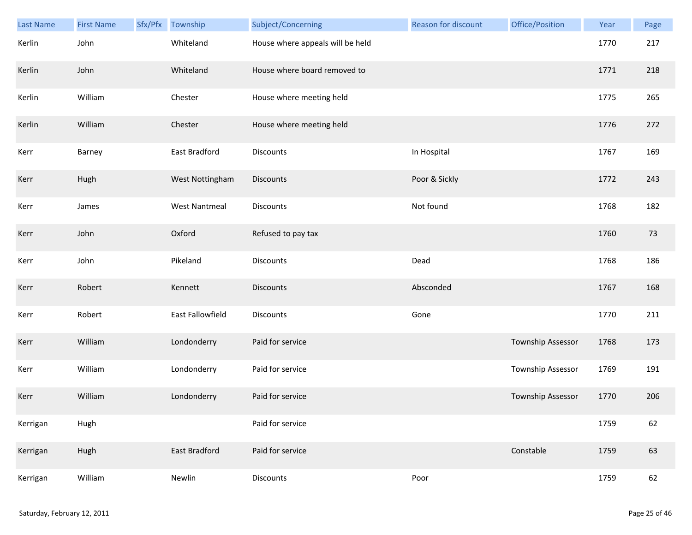| Last Name | <b>First Name</b> | Sfx/Pfx | Township             | Subject/Concerning               | <b>Reason for discount</b> | Office/Position   | Year | Page |
|-----------|-------------------|---------|----------------------|----------------------------------|----------------------------|-------------------|------|------|
| Kerlin    | John              |         | Whiteland            | House where appeals will be held |                            |                   | 1770 | 217  |
| Kerlin    | John              |         | Whiteland            | House where board removed to     |                            |                   | 1771 | 218  |
| Kerlin    | William           |         | Chester              | House where meeting held         |                            |                   | 1775 | 265  |
| Kerlin    | William           |         | Chester              | House where meeting held         |                            |                   | 1776 | 272  |
| Kerr      | Barney            |         | East Bradford        | Discounts                        | In Hospital                |                   | 1767 | 169  |
| Kerr      | Hugh              |         | West Nottingham      | Discounts                        | Poor & Sickly              |                   | 1772 | 243  |
| Kerr      | James             |         | <b>West Nantmeal</b> | Discounts                        | Not found                  |                   | 1768 | 182  |
| Kerr      | John              |         | Oxford               | Refused to pay tax               |                            |                   | 1760 | 73   |
| Kerr      | John              |         | Pikeland             | Discounts                        | Dead                       |                   | 1768 | 186  |
| Kerr      | Robert            |         | Kennett              | <b>Discounts</b>                 | Absconded                  |                   | 1767 | 168  |
| Kerr      | Robert            |         | East Fallowfield     | Discounts                        | Gone                       |                   | 1770 | 211  |
| Kerr      | William           |         | Londonderry          | Paid for service                 |                            | Township Assessor | 1768 | 173  |
| Kerr      | William           |         | Londonderry          | Paid for service                 |                            | Township Assessor | 1769 | 191  |
| Kerr      | William           |         | Londonderry          | Paid for service                 |                            | Township Assessor | 1770 | 206  |
| Kerrigan  | Hugh              |         |                      | Paid for service                 |                            |                   | 1759 | 62   |
| Kerrigan  | Hugh              |         | East Bradford        | Paid for service                 |                            | Constable         | 1759 | 63   |
| Kerrigan  | William           |         | Newlin               | <b>Discounts</b>                 | Poor                       |                   | 1759 | 62   |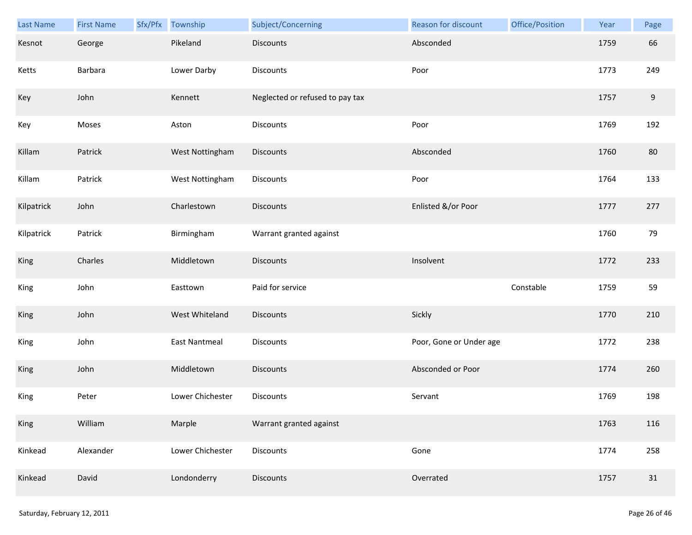| Last Name  | <b>First Name</b> | Sfx/Pfx | Township             | Subject/Concerning              | Reason for discount     | Office/Position | Year | Page             |
|------------|-------------------|---------|----------------------|---------------------------------|-------------------------|-----------------|------|------------------|
| Kesnot     | George            |         | Pikeland             | <b>Discounts</b>                | Absconded               |                 | 1759 | 66               |
| Ketts      | Barbara           |         | Lower Darby          | Discounts                       | Poor                    |                 | 1773 | 249              |
| Key        | John              |         | Kennett              | Neglected or refused to pay tax |                         |                 | 1757 | $\boldsymbol{9}$ |
| Key        | Moses             |         | Aston                | Discounts                       | Poor                    |                 | 1769 | 192              |
| Killam     | Patrick           |         | West Nottingham      | Discounts                       | Absconded               |                 | 1760 | 80               |
| Killam     | Patrick           |         | West Nottingham      | Discounts                       | Poor                    |                 | 1764 | 133              |
| Kilpatrick | John              |         | Charlestown          | <b>Discounts</b>                | Enlisted &/or Poor      |                 | 1777 | 277              |
| Kilpatrick | Patrick           |         | Birmingham           | Warrant granted against         |                         |                 | 1760 | 79               |
| King       | Charles           |         | Middletown           | <b>Discounts</b>                | Insolvent               |                 | 1772 | 233              |
| King       | John              |         | Easttown             | Paid for service                |                         | Constable       | 1759 | 59               |
| King       | John              |         | West Whiteland       | Discounts                       | Sickly                  |                 | 1770 | 210              |
| King       | John              |         | <b>East Nantmeal</b> | Discounts                       | Poor, Gone or Under age |                 | 1772 | 238              |
| King       | John              |         | Middletown           | <b>Discounts</b>                | Absconded or Poor       |                 | 1774 | 260              |
| King       | Peter             |         | Lower Chichester     | Discounts                       | Servant                 |                 | 1769 | 198              |
| King       | William           |         | Marple               | Warrant granted against         |                         |                 | 1763 | 116              |
| Kinkead    | Alexander         |         | Lower Chichester     | Discounts                       | Gone                    |                 | 1774 | 258              |
| Kinkead    | David             |         | Londonderry          | Discounts                       | Overrated               |                 | 1757 | $31\,$           |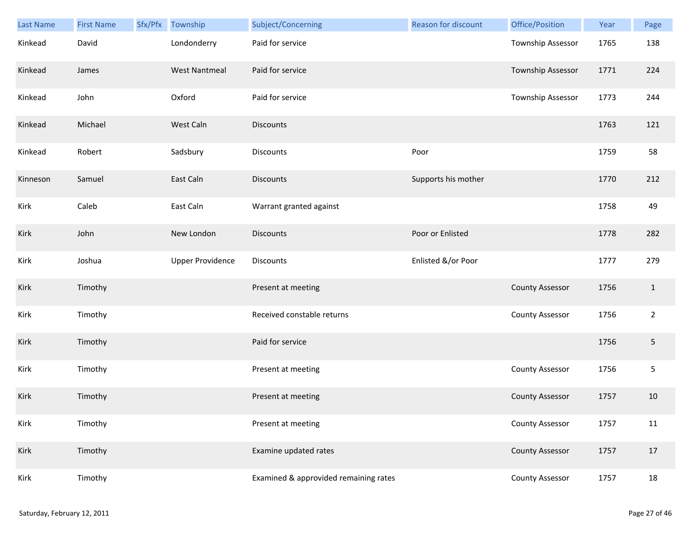| Last Name | <b>First Name</b> | Sfx/Pfx Township        | Subject/Concerning                    | Reason for discount | Office/Position          | Year | Page           |
|-----------|-------------------|-------------------------|---------------------------------------|---------------------|--------------------------|------|----------------|
| Kinkead   | David             | Londonderry             | Paid for service                      |                     | <b>Township Assessor</b> | 1765 | 138            |
| Kinkead   | James             | <b>West Nantmeal</b>    | Paid for service                      |                     | <b>Township Assessor</b> | 1771 | 224            |
| Kinkead   | John              | Oxford                  | Paid for service                      |                     | Township Assessor        | 1773 | 244            |
| Kinkead   | Michael           | West Caln               | <b>Discounts</b>                      |                     |                          | 1763 | 121            |
| Kinkead   | Robert            | Sadsbury                | Discounts                             | Poor                |                          | 1759 | 58             |
| Kinneson  | Samuel            | East Caln               | <b>Discounts</b>                      | Supports his mother |                          | 1770 | 212            |
| Kirk      | Caleb             | East Caln               | Warrant granted against               |                     |                          | 1758 | 49             |
| Kirk      | John              | New London              | <b>Discounts</b>                      | Poor or Enlisted    |                          | 1778 | 282            |
| Kirk      | Joshua            | <b>Upper Providence</b> | <b>Discounts</b>                      | Enlisted &/or Poor  |                          | 1777 | 279            |
| Kirk      | Timothy           |                         | Present at meeting                    |                     | <b>County Assessor</b>   | 1756 | $\mathbf{1}$   |
| Kirk      | Timothy           |                         | Received constable returns            |                     | <b>County Assessor</b>   | 1756 | $\overline{2}$ |
| Kirk      | Timothy           |                         | Paid for service                      |                     |                          | 1756 | $\overline{5}$ |
| Kirk      | Timothy           |                         | Present at meeting                    |                     | <b>County Assessor</b>   | 1756 | 5              |
| Kirk      | Timothy           |                         | Present at meeting                    |                     | <b>County Assessor</b>   | 1757 | 10             |
| Kirk      | Timothy           |                         | Present at meeting                    |                     | <b>County Assessor</b>   | 1757 | 11             |
| Kirk      | Timothy           |                         | Examine updated rates                 |                     | <b>County Assessor</b>   | 1757 | 17             |
| Kirk      | Timothy           |                         | Examined & approvided remaining rates |                     | <b>County Assessor</b>   | 1757 | 18             |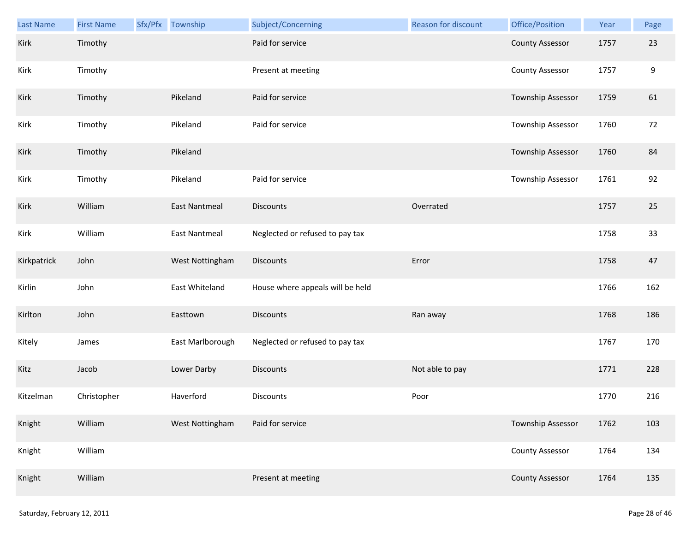| Last Name   | <b>First Name</b> | Sfx/Pfx Township     | Subject/Concerning               | Reason for discount | Office/Position        | Year | Page             |
|-------------|-------------------|----------------------|----------------------------------|---------------------|------------------------|------|------------------|
| Kirk        | Timothy           |                      | Paid for service                 |                     | <b>County Assessor</b> | 1757 | 23               |
| Kirk        | Timothy           |                      | Present at meeting               |                     | <b>County Assessor</b> | 1757 | $\boldsymbol{9}$ |
| Kirk        | Timothy           | Pikeland             | Paid for service                 |                     | Township Assessor      | 1759 | 61               |
| Kirk        | Timothy           | Pikeland             | Paid for service                 |                     | Township Assessor      | 1760 | 72               |
| Kirk        | Timothy           | Pikeland             |                                  |                     | Township Assessor      | 1760 | 84               |
| Kirk        | Timothy           | Pikeland             | Paid for service                 |                     | Township Assessor      | 1761 | 92               |
| Kirk        | William           | <b>East Nantmeal</b> | <b>Discounts</b>                 | Overrated           |                        | 1757 | 25               |
| Kirk        | William           | <b>East Nantmeal</b> | Neglected or refused to pay tax  |                     |                        | 1758 | 33               |
| Kirkpatrick | John              | West Nottingham      | <b>Discounts</b>                 | Error               |                        | 1758 | 47               |
| Kirlin      | John              | East Whiteland       | House where appeals will be held |                     |                        | 1766 | 162              |
| Kirlton     | John              | Easttown             | <b>Discounts</b>                 | Ran away            |                        | 1768 | 186              |
| Kitely      | James             | East Marlborough     | Neglected or refused to pay tax  |                     |                        | 1767 | 170              |
| Kitz        | Jacob             | Lower Darby          | <b>Discounts</b>                 | Not able to pay     |                        | 1771 | 228              |
| Kitzelman   | Christopher       | Haverford            | Discounts                        | Poor                |                        | 1770 | 216              |
| Knight      | William           | West Nottingham      | Paid for service                 |                     | Township Assessor      | 1762 | 103              |
| Knight      | William           |                      |                                  |                     | <b>County Assessor</b> | 1764 | 134              |
| Knight      | William           |                      | Present at meeting               |                     | <b>County Assessor</b> | 1764 | 135              |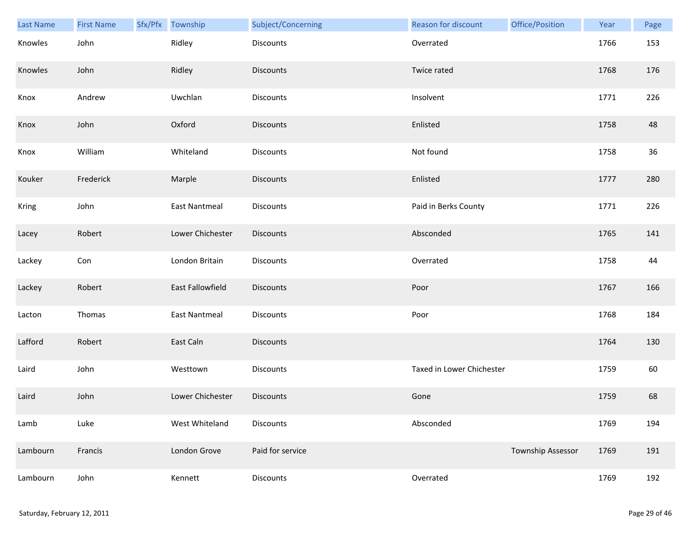| Last Name | <b>First Name</b> | Sfx/Pfx Township     | Subject/Concerning | Reason for discount       | Office/Position          | Year | Page   |
|-----------|-------------------|----------------------|--------------------|---------------------------|--------------------------|------|--------|
| Knowles   | John              | Ridley               | Discounts          | Overrated                 |                          | 1766 | 153    |
| Knowles   | John              | Ridley               | <b>Discounts</b>   | Twice rated               |                          | 1768 | 176    |
| Knox      | Andrew            | Uwchlan              | Discounts          | Insolvent                 |                          | 1771 | 226    |
| Knox      | John              | Oxford               | <b>Discounts</b>   | Enlisted                  |                          | 1758 | 48     |
| Knox      | William           | Whiteland            | Discounts          | Not found                 |                          | 1758 | $36\,$ |
| Kouker    | Frederick         | Marple               | <b>Discounts</b>   | Enlisted                  |                          | 1777 | 280    |
| Kring     | John              | <b>East Nantmeal</b> | Discounts          | Paid in Berks County      |                          | 1771 | 226    |
| Lacey     | Robert            | Lower Chichester     | Discounts          | Absconded                 |                          | 1765 | 141    |
| Lackey    | Con               | London Britain       | <b>Discounts</b>   | Overrated                 |                          | 1758 | 44     |
| Lackey    | Robert            | East Fallowfield     | Discounts          | Poor                      |                          | 1767 | 166    |
| Lacton    | Thomas            | <b>East Nantmeal</b> | Discounts          | Poor                      |                          | 1768 | 184    |
| Lafford   | Robert            | East Caln            | Discounts          |                           |                          | 1764 | 130    |
| Laird     | John              | Westtown             | Discounts          | Taxed in Lower Chichester |                          | 1759 | 60     |
| Laird     | John              | Lower Chichester     | <b>Discounts</b>   | Gone                      |                          | 1759 | 68     |
| Lamb      | Luke              | West Whiteland       | Discounts          | Absconded                 |                          | 1769 | 194    |
| Lambourn  | Francis           | London Grove         | Paid for service   |                           | <b>Township Assessor</b> | 1769 | 191    |
| Lambourn  | John              | Kennett              | <b>Discounts</b>   | Overrated                 |                          | 1769 | 192    |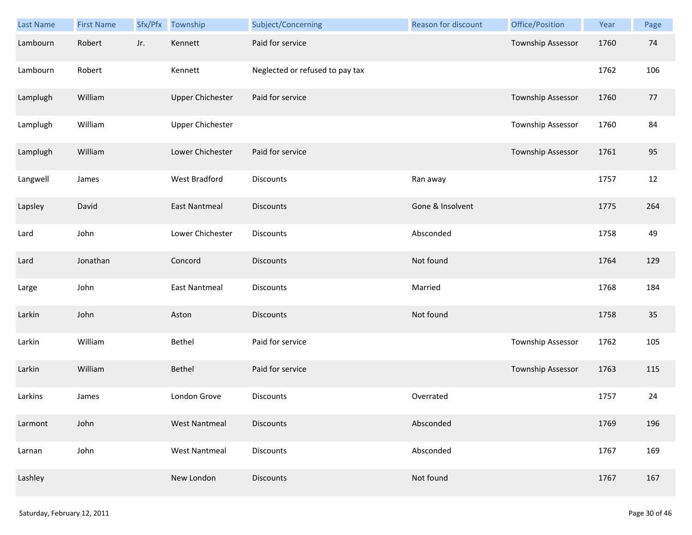| Last Name | <b>First Name</b> | Sfx/Pfx | Township                | Subject/Concerning              | Reason for discount | Office/Position          | Year | Page |
|-----------|-------------------|---------|-------------------------|---------------------------------|---------------------|--------------------------|------|------|
| Lambourn  | Robert            | Jr.     | Kennett                 | Paid for service                |                     | Township Assessor        | 1760 | 74   |
| Lambourn  | Robert            |         | Kennett                 | Neglected or refused to pay tax |                     |                          | 1762 | 106  |
| Lamplugh  | William           |         | <b>Upper Chichester</b> | Paid for service                |                     | Township Assessor        | 1760 | 77   |
| Lamplugh  | William           |         | <b>Upper Chichester</b> |                                 |                     | Township Assessor        | 1760 | 84   |
| Lamplugh  | William           |         | Lower Chichester        | Paid for service                |                     | <b>Township Assessor</b> | 1761 | 95   |
| Langwell  | James             |         | West Bradford           | Discounts                       | Ran away            |                          | 1757 | 12   |
| Lapsley   | David             |         | <b>East Nantmeal</b>    | <b>Discounts</b>                | Gone & Insolvent    |                          | 1775 | 264  |
| Lard      | John              |         | Lower Chichester        | Discounts                       | Absconded           |                          | 1758 | 49   |
| Lard      | Jonathan          |         | Concord                 | <b>Discounts</b>                | Not found           |                          | 1764 | 129  |
| Large     | John              |         | East Nantmeal           | <b>Discounts</b>                | Married             |                          | 1768 | 184  |
| Larkin    | John              |         | Aston                   | <b>Discounts</b>                | Not found           |                          | 1758 | 35   |
| Larkin    | William           |         | Bethel                  | Paid for service                |                     | Township Assessor        | 1762 | 105  |
| Larkin    | William           |         | Bethel                  | Paid for service                |                     | Township Assessor        | 1763 | 115  |
| Larkins   | James             |         | London Grove            | <b>Discounts</b>                | Overrated           |                          | 1757 | 24   |
| Larmont   | John              |         | <b>West Nantmeal</b>    | <b>Discounts</b>                | Absconded           |                          | 1769 | 196  |
| Larnan    | John              |         | <b>West Nantmeal</b>    | Discounts                       | Absconded           |                          | 1767 | 169  |
| Lashley   |                   |         | New London              | <b>Discounts</b>                | Not found           |                          | 1767 | 167  |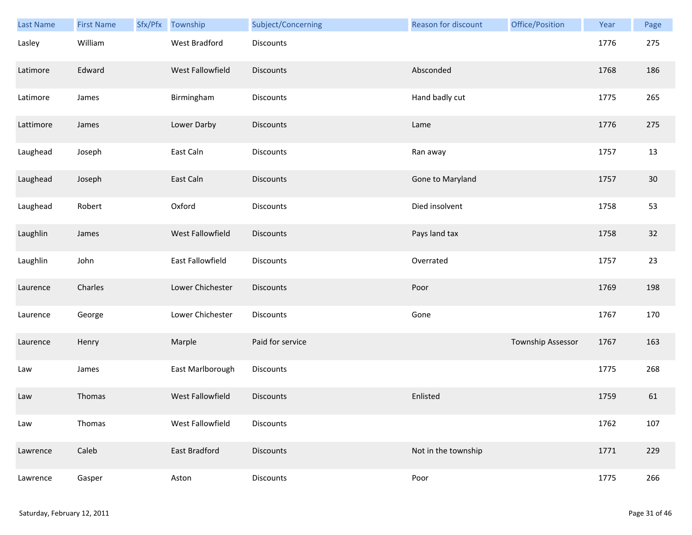| Last Name | <b>First Name</b> | Sfx/Pfx Township | Subject/Concerning | <b>Reason for discount</b> | Office/Position   | Year | Page   |
|-----------|-------------------|------------------|--------------------|----------------------------|-------------------|------|--------|
| Lasley    | William           | West Bradford    | Discounts          |                            |                   | 1776 | 275    |
| Latimore  | Edward            | West Fallowfield | <b>Discounts</b>   | Absconded                  |                   | 1768 | 186    |
| Latimore  | James             | Birmingham       | Discounts          | Hand badly cut             |                   | 1775 | 265    |
| Lattimore | James             | Lower Darby      | <b>Discounts</b>   | Lame                       |                   | 1776 | 275    |
| Laughead  | Joseph            | East Caln        | Discounts          | Ran away                   |                   | 1757 | 13     |
| Laughead  | Joseph            | East Caln        | Discounts          | Gone to Maryland           |                   | 1757 | $30\,$ |
| Laughead  | Robert            | Oxford           | Discounts          | Died insolvent             |                   | 1758 | 53     |
| Laughlin  | James             | West Fallowfield | Discounts          | Pays land tax              |                   | 1758 | $32$   |
| Laughlin  | John              | East Fallowfield | Discounts          | Overrated                  |                   | 1757 | 23     |
| Laurence  | Charles           | Lower Chichester | Discounts          | Poor                       |                   | 1769 | 198    |
| Laurence  | George            | Lower Chichester | Discounts          | Gone                       |                   | 1767 | 170    |
| Laurence  | Henry             | Marple           | Paid for service   |                            | Township Assessor | 1767 | 163    |
| Law       | James             | East Marlborough | Discounts          |                            |                   | 1775 | 268    |
| Law       | Thomas            | West Fallowfield | <b>Discounts</b>   | Enlisted                   |                   | 1759 | 61     |
| Law       | Thomas            | West Fallowfield | Discounts          |                            |                   | 1762 | 107    |
| Lawrence  | Caleb             | East Bradford    | <b>Discounts</b>   | Not in the township        |                   | 1771 | 229    |
| Lawrence  | Gasper            | Aston            | Discounts          | Poor                       |                   | 1775 | 266    |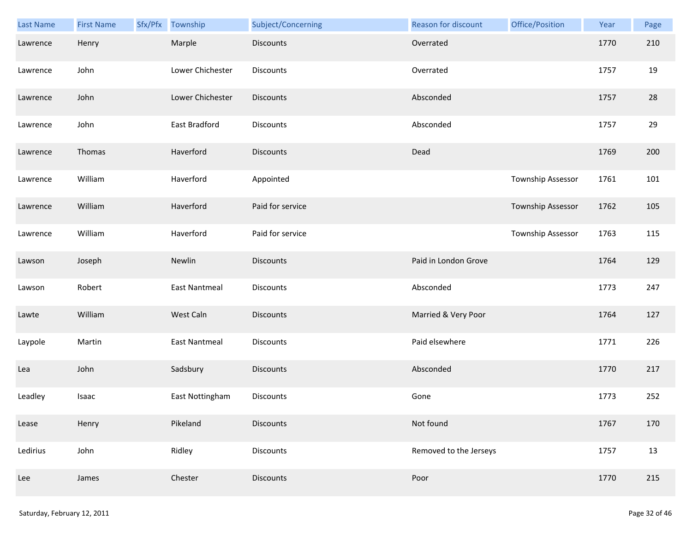| Last Name | <b>First Name</b> | Sfx/Pfx | Township             | Subject/Concerning | Reason for discount    | Office/Position   | Year | Page |
|-----------|-------------------|---------|----------------------|--------------------|------------------------|-------------------|------|------|
| Lawrence  | Henry             |         | Marple               | Discounts          | Overrated              |                   | 1770 | 210  |
| Lawrence  | John              |         | Lower Chichester     | <b>Discounts</b>   | Overrated              |                   | 1757 | 19   |
| Lawrence  | John              |         | Lower Chichester     | <b>Discounts</b>   | Absconded              |                   | 1757 | 28   |
| Lawrence  | John              |         | East Bradford        | <b>Discounts</b>   | Absconded              |                   | 1757 | 29   |
| Lawrence  | Thomas            |         | Haverford            | <b>Discounts</b>   | Dead                   |                   | 1769 | 200  |
| Lawrence  | William           |         | Haverford            | Appointed          |                        | Township Assessor | 1761 | 101  |
| Lawrence  | William           |         | Haverford            | Paid for service   |                        | Township Assessor | 1762 | 105  |
| Lawrence  | William           |         | Haverford            | Paid for service   |                        | Township Assessor | 1763 | 115  |
| Lawson    | Joseph            |         | Newlin               | <b>Discounts</b>   | Paid in London Grove   |                   | 1764 | 129  |
| Lawson    | Robert            |         | <b>East Nantmeal</b> | <b>Discounts</b>   | Absconded              |                   | 1773 | 247  |
| Lawte     | William           |         | West Caln            | <b>Discounts</b>   | Married & Very Poor    |                   | 1764 | 127  |
| Laypole   | Martin            |         | East Nantmeal        | <b>Discounts</b>   | Paid elsewhere         |                   | 1771 | 226  |
| Lea       | John              |         | Sadsbury             | Discounts          | Absconded              |                   | 1770 | 217  |
| Leadley   | Isaac             |         | East Nottingham      | <b>Discounts</b>   | Gone                   |                   | 1773 | 252  |
| Lease     | Henry             |         | Pikeland             | <b>Discounts</b>   | Not found              |                   | 1767 | 170  |
| Ledirius  | John              |         | Ridley               | <b>Discounts</b>   | Removed to the Jerseys |                   | 1757 | 13   |
| Lee       | James             |         | Chester              | Discounts          | Poor                   |                   | 1770 | 215  |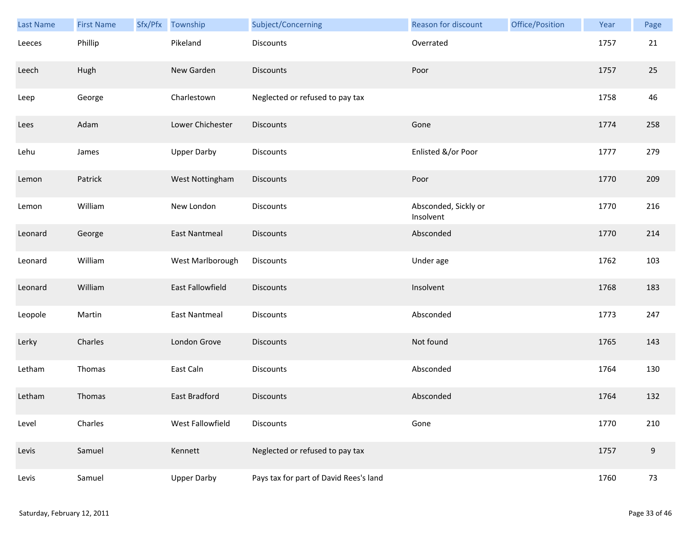| Last Name | <b>First Name</b> | Sfx/Pfx | Township             | Subject/Concerning                     | Reason for discount               | Office/Position | Year | Page |
|-----------|-------------------|---------|----------------------|----------------------------------------|-----------------------------------|-----------------|------|------|
| Leeces    | Phillip           |         | Pikeland             | <b>Discounts</b>                       | Overrated                         |                 | 1757 | 21   |
| Leech     | Hugh              |         | New Garden           | <b>Discounts</b>                       | Poor                              |                 | 1757 | 25   |
| Leep      | George            |         | Charlestown          | Neglected or refused to pay tax        |                                   |                 | 1758 | 46   |
| Lees      | Adam              |         | Lower Chichester     | <b>Discounts</b>                       | Gone                              |                 | 1774 | 258  |
| Lehu      | James             |         | <b>Upper Darby</b>   | <b>Discounts</b>                       | Enlisted &/or Poor                |                 | 1777 | 279  |
| Lemon     | Patrick           |         | West Nottingham      | <b>Discounts</b>                       | Poor                              |                 | 1770 | 209  |
| Lemon     | William           |         | New London           | Discounts                              | Absconded, Sickly or<br>Insolvent |                 | 1770 | 216  |
| Leonard   | George            |         | <b>East Nantmeal</b> | Discounts                              | Absconded                         |                 | 1770 | 214  |
| Leonard   | William           |         | West Marlborough     | <b>Discounts</b>                       | Under age                         |                 | 1762 | 103  |
| Leonard   | William           |         | East Fallowfield     | <b>Discounts</b>                       | Insolvent                         |                 | 1768 | 183  |
| Leopole   | Martin            |         | <b>East Nantmeal</b> | <b>Discounts</b>                       | Absconded                         |                 | 1773 | 247  |
| Lerky     | Charles           |         | London Grove         | <b>Discounts</b>                       | Not found                         |                 | 1765 | 143  |
| Letham    | Thomas            |         | East Caln            | Discounts                              | Absconded                         |                 | 1764 | 130  |
| Letham    | Thomas            |         | East Bradford        | <b>Discounts</b>                       | Absconded                         |                 | 1764 | 132  |
| Level     | Charles           |         | West Fallowfield     | Discounts                              | Gone                              |                 | 1770 | 210  |
| Levis     | Samuel            |         | Kennett              | Neglected or refused to pay tax        |                                   |                 | 1757 | 9    |
| Levis     | Samuel            |         | <b>Upper Darby</b>   | Pays tax for part of David Rees's land |                                   |                 | 1760 | 73   |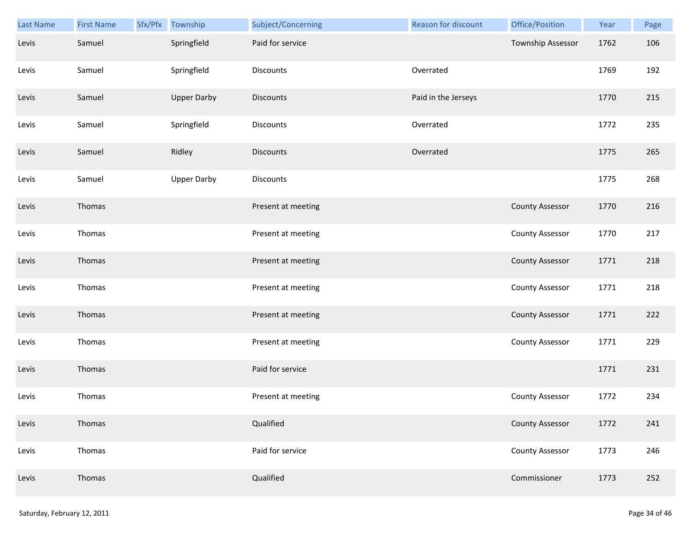| Last Name | <b>First Name</b> | Sfx/Pfx | Township           | Subject/Concerning | <b>Reason for discount</b> | Office/Position        | Year | Page |
|-----------|-------------------|---------|--------------------|--------------------|----------------------------|------------------------|------|------|
| Levis     | Samuel            |         | Springfield        | Paid for service   |                            | Township Assessor      | 1762 | 106  |
| Levis     | Samuel            |         | Springfield        | Discounts          | Overrated                  |                        | 1769 | 192  |
| Levis     | Samuel            |         | <b>Upper Darby</b> | Discounts          | Paid in the Jerseys        |                        | 1770 | 215  |
| Levis     | Samuel            |         | Springfield        | <b>Discounts</b>   | Overrated                  |                        | 1772 | 235  |
| Levis     | Samuel            |         | Ridley             | Discounts          | Overrated                  |                        | 1775 | 265  |
| Levis     | Samuel            |         | <b>Upper Darby</b> | Discounts          |                            |                        | 1775 | 268  |
| Levis     | Thomas            |         |                    | Present at meeting |                            | <b>County Assessor</b> | 1770 | 216  |
| Levis     | Thomas            |         |                    | Present at meeting |                            | <b>County Assessor</b> | 1770 | 217  |
| Levis     | Thomas            |         |                    | Present at meeting |                            | <b>County Assessor</b> | 1771 | 218  |
| Levis     | Thomas            |         |                    | Present at meeting |                            | <b>County Assessor</b> | 1771 | 218  |
| Levis     | Thomas            |         |                    | Present at meeting |                            | <b>County Assessor</b> | 1771 | 222  |
| Levis     | Thomas            |         |                    | Present at meeting |                            | <b>County Assessor</b> | 1771 | 229  |
| Levis     | Thomas            |         |                    | Paid for service   |                            |                        | 1771 | 231  |
| Levis     | Thomas            |         |                    | Present at meeting |                            | <b>County Assessor</b> | 1772 | 234  |
| Levis     | Thomas            |         |                    | Qualified          |                            | <b>County Assessor</b> | 1772 | 241  |
| Levis     | Thomas            |         |                    | Paid for service   |                            | <b>County Assessor</b> | 1773 | 246  |
| Levis     | Thomas            |         |                    | Qualified          |                            | Commissioner           | 1773 | 252  |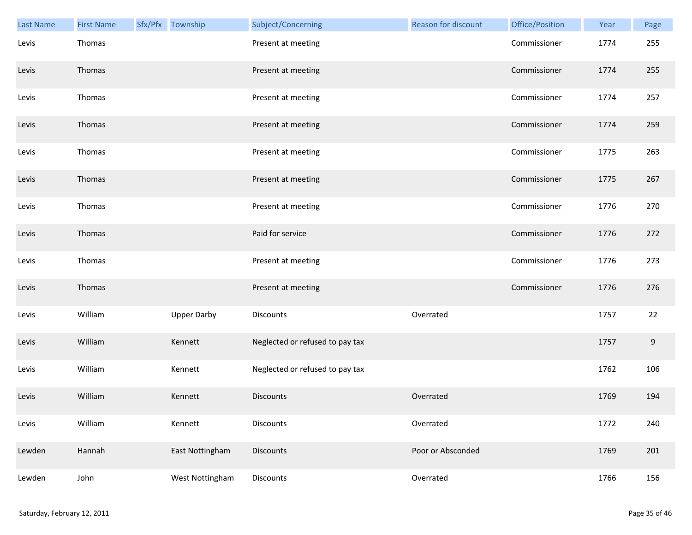| Last Name | <b>First Name</b> | Sfx/Pfx Township   | Subject/Concerning              | <b>Reason for discount</b> | Office/Position | Year | Page  |
|-----------|-------------------|--------------------|---------------------------------|----------------------------|-----------------|------|-------|
| Levis     | Thomas            |                    | Present at meeting              |                            | Commissioner    | 1774 | 255   |
| Levis     | Thomas            |                    | Present at meeting              |                            | Commissioner    | 1774 | 255   |
| Levis     | Thomas            |                    | Present at meeting              |                            | Commissioner    | 1774 | 257   |
| Levis     | Thomas            |                    | Present at meeting              |                            | Commissioner    | 1774 | 259   |
| Levis     | Thomas            |                    | Present at meeting              |                            | Commissioner    | 1775 | 263   |
| Levis     | Thomas            |                    | Present at meeting              |                            | Commissioner    | 1775 | 267   |
| Levis     | Thomas            |                    | Present at meeting              |                            | Commissioner    | 1776 | 270   |
| Levis     | Thomas            |                    | Paid for service                |                            | Commissioner    | 1776 | 272   |
| Levis     | Thomas            |                    | Present at meeting              |                            | Commissioner    | 1776 | 273   |
| Levis     | Thomas            |                    | Present at meeting              |                            | Commissioner    | 1776 | 276   |
| Levis     | William           | <b>Upper Darby</b> | Discounts                       | Overrated                  |                 | 1757 | 22    |
| Levis     | William           | Kennett            | Neglected or refused to pay tax |                            |                 | 1757 | $9\,$ |
| Levis     | William           | Kennett            | Neglected or refused to pay tax |                            |                 | 1762 | 106   |
| Levis     | William           | Kennett            | <b>Discounts</b>                | Overrated                  |                 | 1769 | 194   |
| Levis     | William           | Kennett            | Discounts                       | Overrated                  |                 | 1772 | 240   |
| Lewden    | Hannah            | East Nottingham    | Discounts                       | Poor or Absconded          |                 | 1769 | 201   |
| Lewden    | John              | West Nottingham    | Discounts                       | Overrated                  |                 | 1766 | 156   |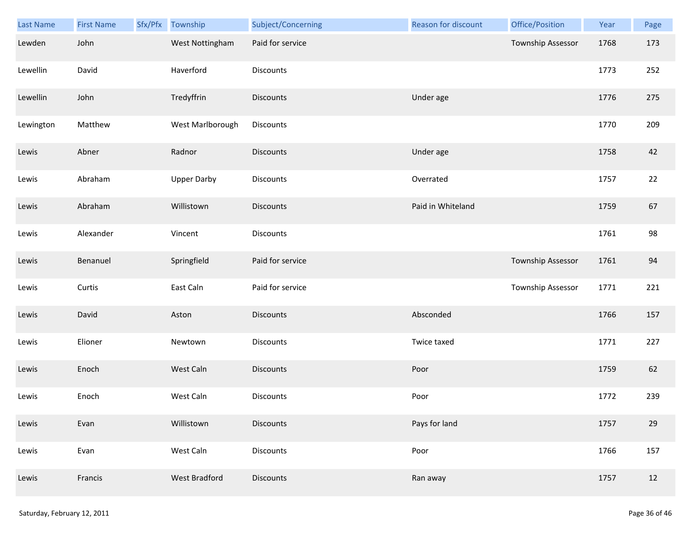| Last Name | <b>First Name</b> | Sfx/Pfx Township   | Subject/Concerning | Reason for discount | Office/Position          | Year | Page |
|-----------|-------------------|--------------------|--------------------|---------------------|--------------------------|------|------|
| Lewden    | John              | West Nottingham    | Paid for service   |                     | Township Assessor        | 1768 | 173  |
| Lewellin  | David             | Haverford          | Discounts          |                     |                          | 1773 | 252  |
| Lewellin  | John              | Tredyffrin         | <b>Discounts</b>   | Under age           |                          | 1776 | 275  |
| Lewington | Matthew           | West Marlborough   | <b>Discounts</b>   |                     |                          | 1770 | 209  |
| Lewis     | Abner             | Radnor             | <b>Discounts</b>   | Under age           |                          | 1758 | 42   |
| Lewis     | Abraham           | <b>Upper Darby</b> | <b>Discounts</b>   | Overrated           |                          | 1757 | 22   |
| Lewis     | Abraham           | Willistown         | <b>Discounts</b>   | Paid in Whiteland   |                          | 1759 | 67   |
| Lewis     | Alexander         | Vincent            | Discounts          |                     |                          | 1761 | 98   |
| Lewis     | Benanuel          | Springfield        | Paid for service   |                     | <b>Township Assessor</b> | 1761 | 94   |
| Lewis     | Curtis            | East Caln          | Paid for service   |                     | Township Assessor        | 1771 | 221  |
| Lewis     | David             | Aston              | <b>Discounts</b>   | Absconded           |                          | 1766 | 157  |
| Lewis     | Elioner           | Newtown            | <b>Discounts</b>   | Twice taxed         |                          | 1771 | 227  |
| Lewis     | Enoch             | West Caln          | Discounts          | Poor                |                          | 1759 | 62   |
| Lewis     | Enoch             | West Caln          | Discounts          | Poor                |                          | 1772 | 239  |
| Lewis     | Evan              | Willistown         | <b>Discounts</b>   | Pays for land       |                          | 1757 | 29   |
| Lewis     | Evan              | West Caln          | Discounts          | Poor                |                          | 1766 | 157  |
| Lewis     | Francis           | West Bradford      | <b>Discounts</b>   | Ran away            |                          | 1757 | 12   |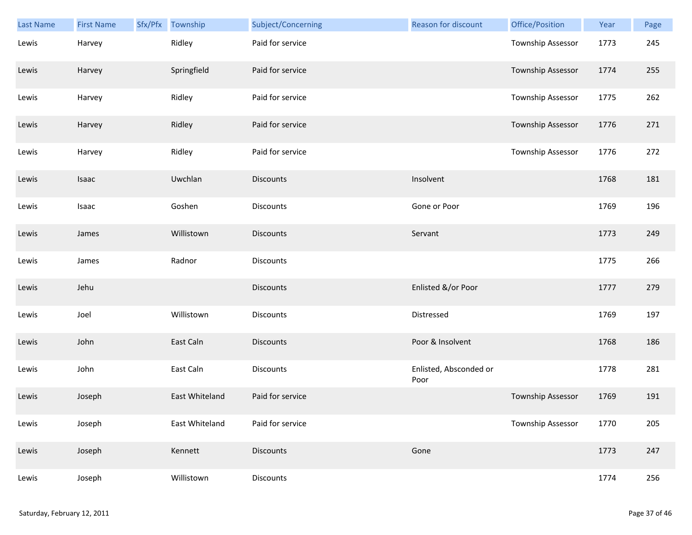| Last Name | <b>First Name</b> | Sfx/Pfx | Township       | Subject/Concerning | Reason for discount            | Office/Position          | Year | Page |
|-----------|-------------------|---------|----------------|--------------------|--------------------------------|--------------------------|------|------|
| Lewis     | Harvey            |         | Ridley         | Paid for service   |                                | Township Assessor        | 1773 | 245  |
| Lewis     | Harvey            |         | Springfield    | Paid for service   |                                | <b>Township Assessor</b> | 1774 | 255  |
| Lewis     | Harvey            |         | Ridley         | Paid for service   |                                | Township Assessor        | 1775 | 262  |
| Lewis     | Harvey            |         | Ridley         | Paid for service   |                                | <b>Township Assessor</b> | 1776 | 271  |
| Lewis     | Harvey            |         | Ridley         | Paid for service   |                                | Township Assessor        | 1776 | 272  |
| Lewis     | Isaac             |         | Uwchlan        | <b>Discounts</b>   | Insolvent                      |                          | 1768 | 181  |
| Lewis     | Isaac             |         | Goshen         | <b>Discounts</b>   | Gone or Poor                   |                          | 1769 | 196  |
| Lewis     | James             |         | Willistown     | <b>Discounts</b>   | Servant                        |                          | 1773 | 249  |
| Lewis     | James             |         | Radnor         | <b>Discounts</b>   |                                |                          | 1775 | 266  |
| Lewis     | Jehu              |         |                | <b>Discounts</b>   | Enlisted &/or Poor             |                          | 1777 | 279  |
| Lewis     | Joel              |         | Willistown     | Discounts          | Distressed                     |                          | 1769 | 197  |
| Lewis     | John              |         | East Caln      | <b>Discounts</b>   | Poor & Insolvent               |                          | 1768 | 186  |
| Lewis     | John              |         | East Caln      | Discounts          | Enlisted, Absconded or<br>Poor |                          | 1778 | 281  |
| Lewis     | Joseph            |         | East Whiteland | Paid for service   |                                | Township Assessor        | 1769 | 191  |
| Lewis     | Joseph            |         | East Whiteland | Paid for service   |                                | Township Assessor        | 1770 | 205  |
| Lewis     | Joseph            |         | Kennett        | <b>Discounts</b>   | Gone                           |                          | 1773 | 247  |
| Lewis     | Joseph            |         | Willistown     | Discounts          |                                |                          | 1774 | 256  |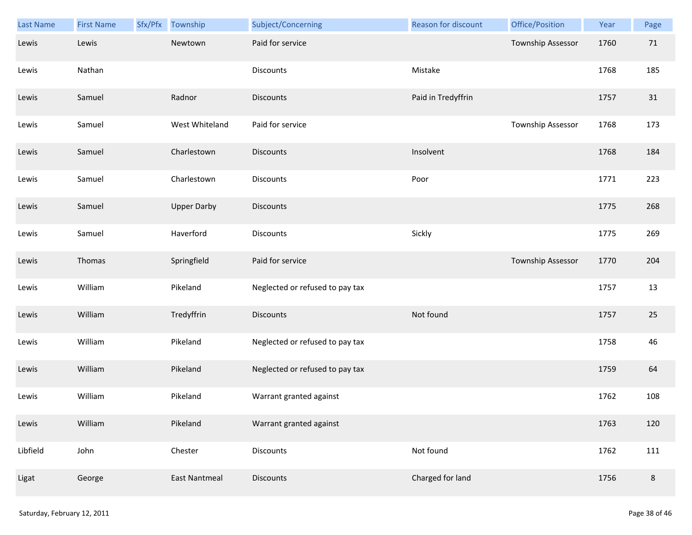| <b>Last Name</b> | <b>First Name</b> | Sfx/Pfx | Township             | Subject/Concerning              | Reason for discount | Office/Position   | Year | Page    |
|------------------|-------------------|---------|----------------------|---------------------------------|---------------------|-------------------|------|---------|
| Lewis            | Lewis             |         | Newtown              | Paid for service                |                     | Township Assessor | 1760 | 71      |
| Lewis            | Nathan            |         |                      | Discounts                       | Mistake             |                   | 1768 | 185     |
| Lewis            | Samuel            |         | Radnor               | <b>Discounts</b>                | Paid in Tredyffrin  |                   | 1757 | 31      |
| Lewis            | Samuel            |         | West Whiteland       | Paid for service                |                     | Township Assessor | 1768 | 173     |
| Lewis            | Samuel            |         | Charlestown          | <b>Discounts</b>                | Insolvent           |                   | 1768 | 184     |
| Lewis            | Samuel            |         | Charlestown          | Discounts                       | Poor                |                   | 1771 | 223     |
| Lewis            | Samuel            |         | <b>Upper Darby</b>   | <b>Discounts</b>                |                     |                   | 1775 | 268     |
| Lewis            | Samuel            |         | Haverford            | Discounts                       | Sickly              |                   | 1775 | 269     |
| Lewis            | Thomas            |         | Springfield          | Paid for service                |                     | Township Assessor | 1770 | 204     |
| Lewis            | William           |         | Pikeland             | Neglected or refused to pay tax |                     |                   | 1757 | 13      |
| Lewis            | William           |         | Tredyffrin           | Discounts                       | Not found           |                   | 1757 | 25      |
| Lewis            | William           |         | Pikeland             | Neglected or refused to pay tax |                     |                   | 1758 | 46      |
| Lewis            | William           |         | Pikeland             | Neglected or refused to pay tax |                     |                   | 1759 | 64      |
| Lewis            | William           |         | Pikeland             | Warrant granted against         |                     |                   | 1762 | 108     |
| Lewis            | William           |         | Pikeland             | Warrant granted against         |                     |                   | 1763 | 120     |
| Libfield         | John              |         | Chester              | Discounts                       | Not found           |                   | 1762 | 111     |
| Ligat            | George            |         | <b>East Nantmeal</b> | <b>Discounts</b>                | Charged for land    |                   | 1756 | $\,8\,$ |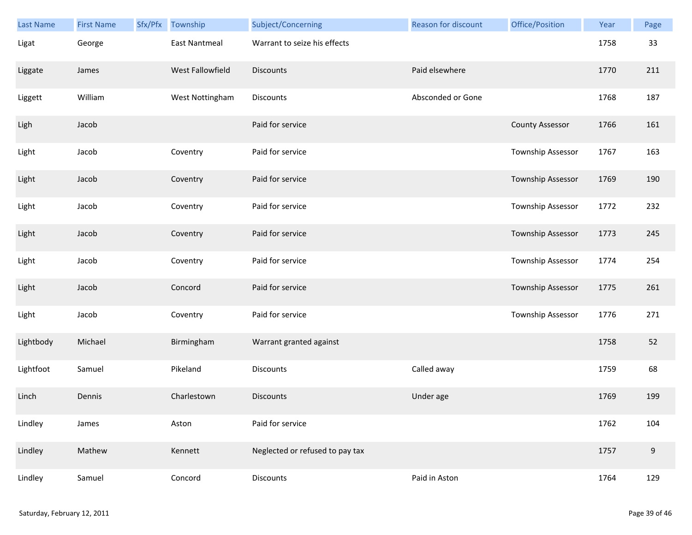| Last Name | <b>First Name</b> | Sfx/Pfx | Township             | Subject/Concerning              | <b>Reason for discount</b> | Office/Position        | Year | Page  |
|-----------|-------------------|---------|----------------------|---------------------------------|----------------------------|------------------------|------|-------|
| Ligat     | George            |         | <b>East Nantmeal</b> | Warrant to seize his effects    |                            |                        | 1758 | 33    |
| Liggate   | James             |         | West Fallowfield     | <b>Discounts</b>                | Paid elsewhere             |                        | 1770 | 211   |
| Liggett   | William           |         | West Nottingham      | Discounts                       | Absconded or Gone          |                        | 1768 | 187   |
| Ligh      | Jacob             |         |                      | Paid for service                |                            | <b>County Assessor</b> | 1766 | 161   |
| Light     | Jacob             |         | Coventry             | Paid for service                |                            | Township Assessor      | 1767 | 163   |
| Light     | Jacob             |         | Coventry             | Paid for service                |                            | Township Assessor      | 1769 | 190   |
| Light     | Jacob             |         | Coventry             | Paid for service                |                            | Township Assessor      | 1772 | 232   |
| Light     | Jacob             |         | Coventry             | Paid for service                |                            | Township Assessor      | 1773 | 245   |
| Light     | Jacob             |         | Coventry             | Paid for service                |                            | Township Assessor      | 1774 | 254   |
| Light     | Jacob             |         | Concord              | Paid for service                |                            | Township Assessor      | 1775 | 261   |
| Light     | Jacob             |         | Coventry             | Paid for service                |                            | Township Assessor      | 1776 | 271   |
| Lightbody | Michael           |         | Birmingham           | Warrant granted against         |                            |                        | 1758 | 52    |
| Lightfoot | Samuel            |         | Pikeland             | Discounts                       | Called away                |                        | 1759 | 68    |
| Linch     | Dennis            |         | Charlestown          | <b>Discounts</b>                | Under age                  |                        | 1769 | 199   |
| Lindley   | James             |         | Aston                | Paid for service                |                            |                        | 1762 | 104   |
| Lindley   | Mathew            |         | Kennett              | Neglected or refused to pay tax |                            |                        | 1757 | $9\,$ |
| Lindley   | Samuel            |         | Concord              | Discounts                       | Paid in Aston              |                        | 1764 | 129   |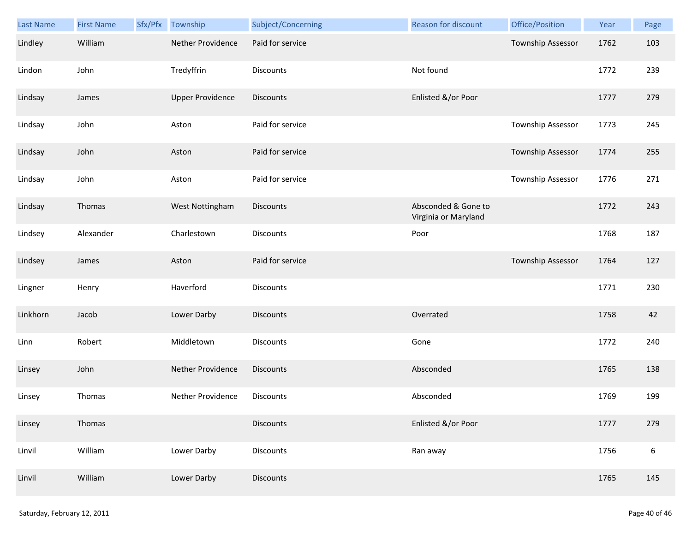| Last Name | <b>First Name</b> | Sfx/Pfx | Township                | Subject/Concerning | Reason for discount                         | Office/Position   | Year | Page             |
|-----------|-------------------|---------|-------------------------|--------------------|---------------------------------------------|-------------------|------|------------------|
| Lindley   | William           |         | Nether Providence       | Paid for service   |                                             | Township Assessor | 1762 | 103              |
| Lindon    | John              |         | Tredyffrin              | <b>Discounts</b>   | Not found                                   |                   | 1772 | 239              |
| Lindsay   | James             |         | <b>Upper Providence</b> | <b>Discounts</b>   | Enlisted &/or Poor                          |                   | 1777 | 279              |
| Lindsay   | John              |         | Aston                   | Paid for service   |                                             | Township Assessor | 1773 | 245              |
| Lindsay   | John              |         | Aston                   | Paid for service   |                                             | Township Assessor | 1774 | 255              |
| Lindsay   | John              |         | Aston                   | Paid for service   |                                             | Township Assessor | 1776 | 271              |
| Lindsay   | Thomas            |         | West Nottingham         | Discounts          | Absconded & Gone to<br>Virginia or Maryland |                   | 1772 | 243              |
| Lindsey   | Alexander         |         | Charlestown             | <b>Discounts</b>   | Poor                                        |                   | 1768 | 187              |
| Lindsey   | James             |         | Aston                   | Paid for service   |                                             | Township Assessor | 1764 | 127              |
| Lingner   | Henry             |         | Haverford               | Discounts          |                                             |                   | 1771 | 230              |
| Linkhorn  | Jacob             |         | Lower Darby             | <b>Discounts</b>   | Overrated                                   |                   | 1758 | 42               |
| Linn      | Robert            |         | Middletown              | Discounts          | Gone                                        |                   | 1772 | 240              |
| Linsey    | John              |         | Nether Providence       | <b>Discounts</b>   | Absconded                                   |                   | 1765 | 138              |
| Linsey    | Thomas            |         | Nether Providence       | Discounts          | Absconded                                   |                   | 1769 | 199              |
| Linsey    | Thomas            |         |                         | <b>Discounts</b>   | Enlisted &/or Poor                          |                   | 1777 | 279              |
| Linvil    | William           |         | Lower Darby             | <b>Discounts</b>   | Ran away                                    |                   | 1756 | $\boldsymbol{6}$ |
| Linvil    | William           |         | Lower Darby             | <b>Discounts</b>   |                                             |                   | 1765 | 145              |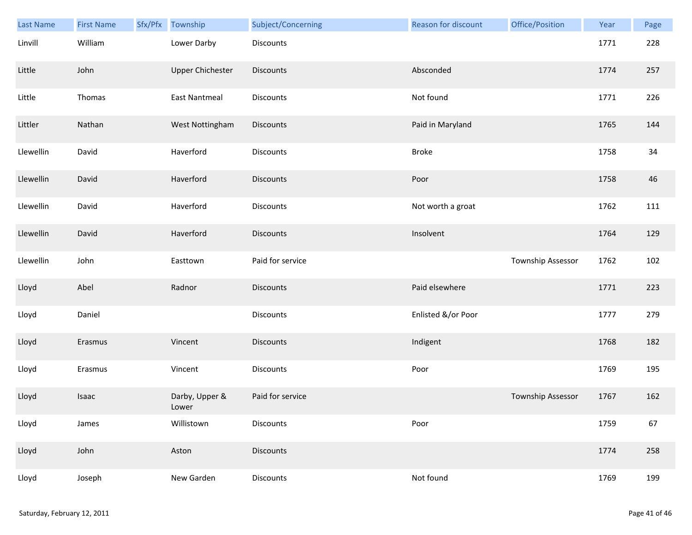| Last Name | <b>First Name</b> | Sfx/Pfx | Township                | Subject/Concerning | <b>Reason for discount</b> | Office/Position   | Year | Page |
|-----------|-------------------|---------|-------------------------|--------------------|----------------------------|-------------------|------|------|
| Linvill   | William           |         | Lower Darby             | Discounts          |                            |                   | 1771 | 228  |
| Little    | John              |         | <b>Upper Chichester</b> | <b>Discounts</b>   | Absconded                  |                   | 1774 | 257  |
| Little    | Thomas            |         | <b>East Nantmeal</b>    | Discounts          | Not found                  |                   | 1771 | 226  |
| Littler   | Nathan            |         | West Nottingham         | <b>Discounts</b>   | Paid in Maryland           |                   | 1765 | 144  |
| Llewellin | David             |         | Haverford               | Discounts          | <b>Broke</b>               |                   | 1758 | 34   |
| Llewellin | David             |         | Haverford               | <b>Discounts</b>   | Poor                       |                   | 1758 | 46   |
| Llewellin | David             |         | Haverford               | Discounts          | Not worth a groat          |                   | 1762 | 111  |
| Llewellin | David             |         | Haverford               | Discounts          | Insolvent                  |                   | 1764 | 129  |
| Llewellin | John              |         | Easttown                | Paid for service   |                            | Township Assessor | 1762 | 102  |
| Lloyd     | Abel              |         | Radnor                  | <b>Discounts</b>   | Paid elsewhere             |                   | 1771 | 223  |
| Lloyd     | Daniel            |         |                         | Discounts          | Enlisted &/or Poor         |                   | 1777 | 279  |
| Lloyd     | Erasmus           |         | Vincent                 | Discounts          | Indigent                   |                   | 1768 | 182  |
| Lloyd     | Erasmus           |         | Vincent                 | Discounts          | Poor                       |                   | 1769 | 195  |
| Lloyd     | Isaac             |         | Darby, Upper &<br>Lower | Paid for service   |                            | Township Assessor | 1767 | 162  |
| Lloyd     | James             |         | Willistown              | Discounts          | Poor                       |                   | 1759 | 67   |
| Lloyd     | John              |         | Aston                   | <b>Discounts</b>   |                            |                   | 1774 | 258  |
| Lloyd     | Joseph            |         | New Garden              | Discounts          | Not found                  |                   | 1769 | 199  |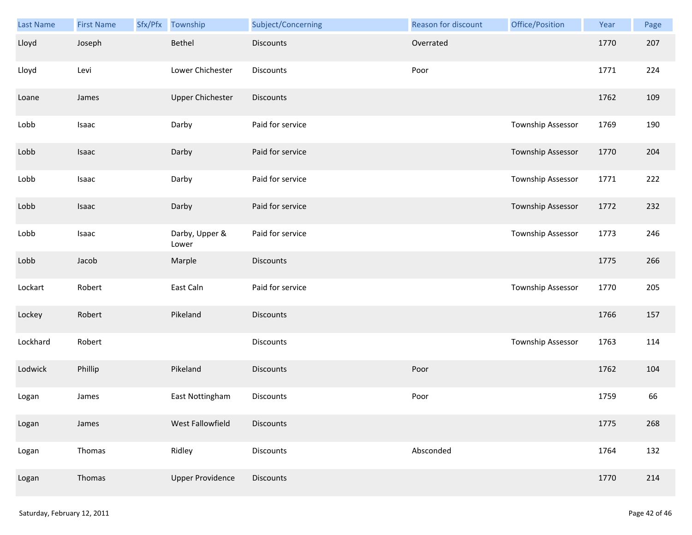| Last Name | <b>First Name</b> | Sfx/Pfx Township        | Subject/Concerning | Reason for discount | Office/Position   | Year | Page |
|-----------|-------------------|-------------------------|--------------------|---------------------|-------------------|------|------|
| Lloyd     | Joseph            | Bethel                  | <b>Discounts</b>   | Overrated           |                   | 1770 | 207  |
| Lloyd     | Levi              | Lower Chichester        | Discounts          | Poor                |                   | 1771 | 224  |
| Loane     | James             | <b>Upper Chichester</b> | Discounts          |                     |                   | 1762 | 109  |
| Lobb      | Isaac             | Darby                   | Paid for service   |                     | Township Assessor | 1769 | 190  |
| Lobb      | Isaac             | Darby                   | Paid for service   |                     | Township Assessor | 1770 | 204  |
| Lobb      | Isaac             | Darby                   | Paid for service   |                     | Township Assessor | 1771 | 222  |
| Lobb      | Isaac             | Darby                   | Paid for service   |                     | Township Assessor | 1772 | 232  |
| Lobb      | Isaac             | Darby, Upper &<br>Lower | Paid for service   |                     | Township Assessor | 1773 | 246  |
| Lobb      | Jacob             | Marple                  | <b>Discounts</b>   |                     |                   | 1775 | 266  |
| Lockart   | Robert            | East Caln               | Paid for service   |                     | Township Assessor | 1770 | 205  |
| Lockey    | Robert            | Pikeland                | <b>Discounts</b>   |                     |                   | 1766 | 157  |
| Lockhard  | Robert            |                         | Discounts          |                     | Township Assessor | 1763 | 114  |
| Lodwick   | Phillip           | Pikeland                | <b>Discounts</b>   | Poor                |                   | 1762 | 104  |
| Logan     | James             | East Nottingham         | Discounts          | Poor                |                   | 1759 | 66   |
| Logan     | James             | West Fallowfield        | <b>Discounts</b>   |                     |                   | 1775 | 268  |
| Logan     | Thomas            | Ridley                  | Discounts          | Absconded           |                   | 1764 | 132  |
| Logan     | Thomas            | <b>Upper Providence</b> | Discounts          |                     |                   | 1770 | 214  |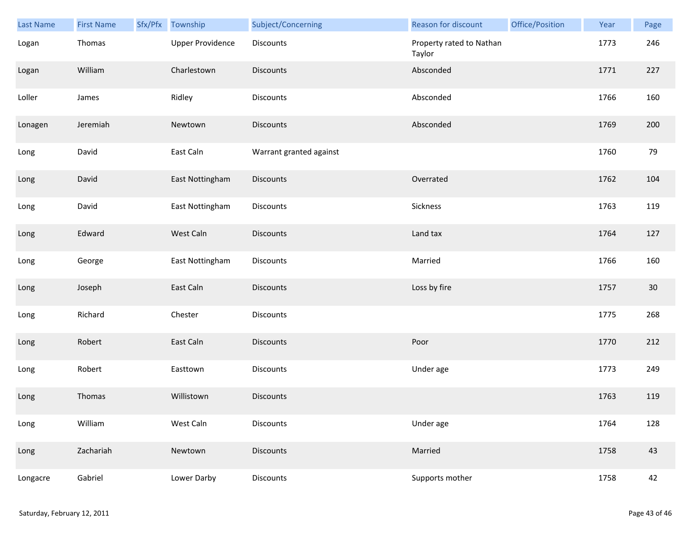| <b>Last Name</b> | <b>First Name</b> | Sfx/Pfx | Township                | Subject/Concerning      | Reason for discount                | Office/Position | Year | Page   |
|------------------|-------------------|---------|-------------------------|-------------------------|------------------------------------|-----------------|------|--------|
| Logan            | Thomas            |         | <b>Upper Providence</b> | Discounts               | Property rated to Nathan<br>Taylor |                 | 1773 | 246    |
| Logan            | William           |         | Charlestown             | <b>Discounts</b>        | Absconded                          |                 | 1771 | 227    |
| Loller           | James             |         | Ridley                  | Discounts               | Absconded                          |                 | 1766 | 160    |
| Lonagen          | Jeremiah          |         | Newtown                 | <b>Discounts</b>        | Absconded                          |                 | 1769 | 200    |
| Long             | David             |         | East Caln               | Warrant granted against |                                    |                 | 1760 | 79     |
| Long             | David             |         | East Nottingham         | Discounts               | Overrated                          |                 | 1762 | 104    |
| Long             | David             |         | East Nottingham         | Discounts               | Sickness                           |                 | 1763 | 119    |
| Long             | Edward            |         | West Caln               | Discounts               | Land tax                           |                 | 1764 | 127    |
| Long             | George            |         | East Nottingham         | Discounts               | Married                            |                 | 1766 | 160    |
| Long             | Joseph            |         | East Caln               | <b>Discounts</b>        | Loss by fire                       |                 | 1757 | $30\,$ |
| Long             | Richard           |         | Chester                 | Discounts               |                                    |                 | 1775 | 268    |
| Long             | Robert            |         | East Caln               | Discounts               | Poor                               |                 | 1770 | 212    |
| Long             | Robert            |         | Easttown                | Discounts               | Under age                          |                 | 1773 | 249    |
| Long             | Thomas            |         | Willistown              | <b>Discounts</b>        |                                    |                 | 1763 | 119    |
| Long             | William           |         | West Caln               | <b>Discounts</b>        | Under age                          |                 | 1764 | 128    |
| Long             | Zachariah         |         | Newtown                 | <b>Discounts</b>        | Married                            |                 | 1758 | 43     |
| Longacre         | Gabriel           |         | Lower Darby             | Discounts               | Supports mother                    |                 | 1758 | 42     |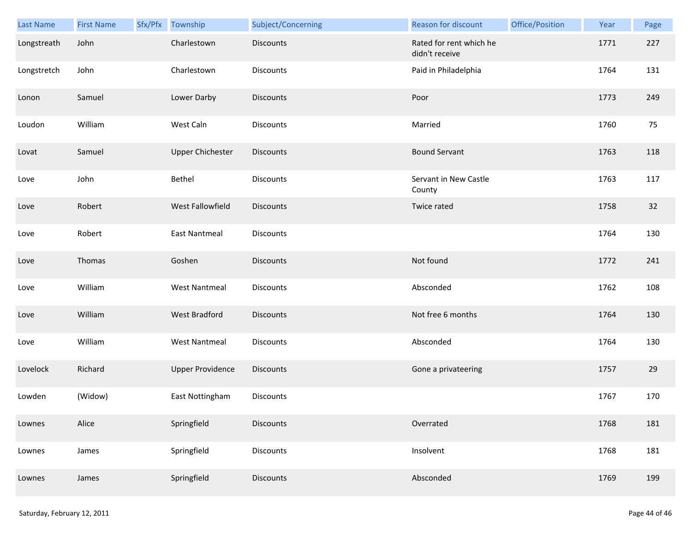| Last Name   | <b>First Name</b> | Sfx/Pfx Township        | Subject/Concerning | <b>Reason for discount</b>                | Office/Position | Year | Page |
|-------------|-------------------|-------------------------|--------------------|-------------------------------------------|-----------------|------|------|
| Longstreath | John              | Charlestown             | <b>Discounts</b>   | Rated for rent which he<br>didn't receive |                 | 1771 | 227  |
| Longstretch | John              | Charlestown             | Discounts          | Paid in Philadelphia                      |                 | 1764 | 131  |
| Lonon       | Samuel            | Lower Darby             | <b>Discounts</b>   | Poor                                      |                 | 1773 | 249  |
| Loudon      | William           | West Caln               | <b>Discounts</b>   | Married                                   |                 | 1760 | 75   |
| Lovat       | Samuel            | <b>Upper Chichester</b> | <b>Discounts</b>   | <b>Bound Servant</b>                      |                 | 1763 | 118  |
| Love        | John              | Bethel                  | <b>Discounts</b>   | Servant in New Castle<br>County           |                 | 1763 | 117  |
| Love        | Robert            | West Fallowfield        | <b>Discounts</b>   | Twice rated                               |                 | 1758 | 32   |
| Love        | Robert            | <b>East Nantmeal</b>    | Discounts          |                                           |                 | 1764 | 130  |
| Love        | Thomas            | Goshen                  | Discounts          | Not found                                 |                 | 1772 | 241  |
| Love        | William           | <b>West Nantmeal</b>    | <b>Discounts</b>   | Absconded                                 |                 | 1762 | 108  |
| Love        | William           | West Bradford           | <b>Discounts</b>   | Not free 6 months                         |                 | 1764 | 130  |
| Love        | William           | <b>West Nantmeal</b>    | <b>Discounts</b>   | Absconded                                 |                 | 1764 | 130  |
| Lovelock    | Richard           | <b>Upper Providence</b> | <b>Discounts</b>   | Gone a privateering                       |                 | 1757 | 29   |
| Lowden      | (Widow)           | East Nottingham         | Discounts          |                                           |                 | 1767 | 170  |
| Lownes      | Alice             | Springfield             | <b>Discounts</b>   | Overrated                                 |                 | 1768 | 181  |
| Lownes      | James             | Springfield             | <b>Discounts</b>   | Insolvent                                 |                 | 1768 | 181  |
| Lownes      | James             | Springfield             | <b>Discounts</b>   | Absconded                                 |                 | 1769 | 199  |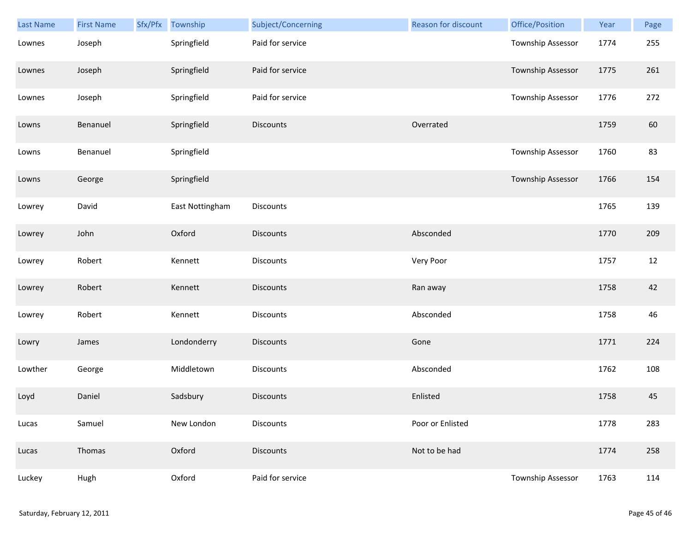| Last Name | <b>First Name</b> | Sfx/Pfx | Township        | Subject/Concerning | <b>Reason for discount</b> | Office/Position   | Year | Page |
|-----------|-------------------|---------|-----------------|--------------------|----------------------------|-------------------|------|------|
| Lownes    | Joseph            |         | Springfield     | Paid for service   |                            | Township Assessor | 1774 | 255  |
| Lownes    | Joseph            |         | Springfield     | Paid for service   |                            | Township Assessor | 1775 | 261  |
| Lownes    | Joseph            |         | Springfield     | Paid for service   |                            | Township Assessor | 1776 | 272  |
| Lowns     | Benanuel          |         | Springfield     | <b>Discounts</b>   | Overrated                  |                   | 1759 | 60   |
| Lowns     | Benanuel          |         | Springfield     |                    |                            | Township Assessor | 1760 | 83   |
| Lowns     | George            |         | Springfield     |                    |                            | Township Assessor | 1766 | 154  |
| Lowrey    | David             |         | East Nottingham | Discounts          |                            |                   | 1765 | 139  |
| Lowrey    | John              |         | Oxford          | Discounts          | Absconded                  |                   | 1770 | 209  |
| Lowrey    | Robert            |         | Kennett         | Discounts          | Very Poor                  |                   | 1757 | 12   |
| Lowrey    | Robert            |         | Kennett         | <b>Discounts</b>   | Ran away                   |                   | 1758 | 42   |
| Lowrey    | Robert            |         | Kennett         | Discounts          | Absconded                  |                   | 1758 | 46   |
| Lowry     | James             |         | Londonderry     | Discounts          | Gone                       |                   | 1771 | 224  |
| Lowther   | George            |         | Middletown      | Discounts          | Absconded                  |                   | 1762 | 108  |
| Loyd      | Daniel            |         | Sadsbury        | <b>Discounts</b>   | Enlisted                   |                   | 1758 | 45   |
| Lucas     | Samuel            |         | New London      | Discounts          | Poor or Enlisted           |                   | 1778 | 283  |
| Lucas     | Thomas            |         | Oxford          | <b>Discounts</b>   | Not to be had              |                   | 1774 | 258  |
| Luckey    | Hugh              |         | Oxford          | Paid for service   |                            | Township Assessor | 1763 | 114  |